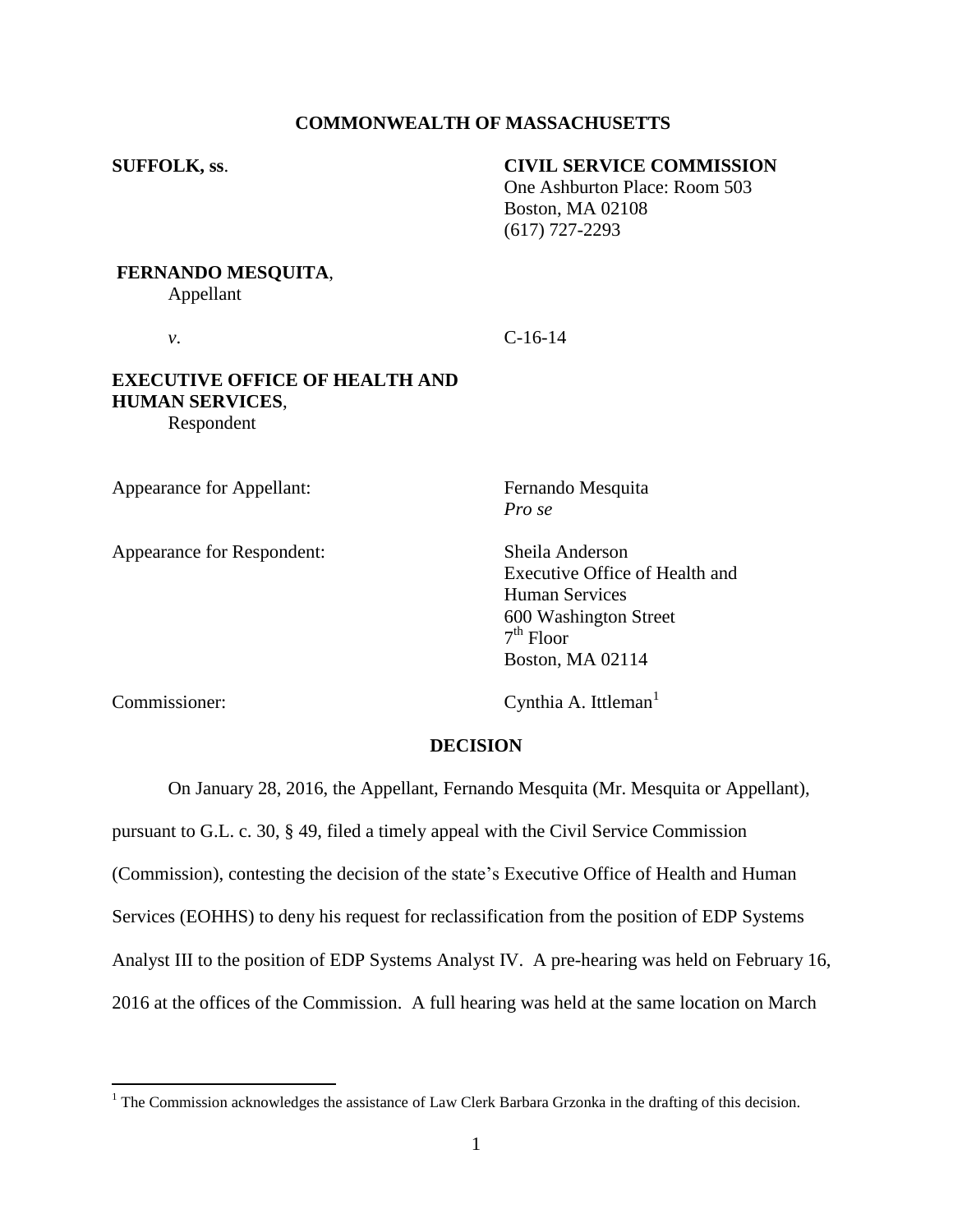### **COMMONWEALTH OF MASSACHUSETTS**

### **SUFFOLK, ss**. **CIVIL SERVICE COMMISSION**

One Ashburton Place: Room 503 Boston, MA 02108 (617) 727-2293

#### **FERNANDO MESQUITA**,

Appellant

*v*. **C**-16-14

### **EXECUTIVE OFFICE OF HEALTH AND HUMAN SERVICES**, Respondent

Appearance for Appellant: Fernando Mesquita

Appearance for Respondent: Sheila Anderson

*Pro se*

Executive Office of Health and Human Services 600 Washington Street 7 th Floor Boston, MA 02114

 $\overline{a}$ 

Commissioner: Cynthia A. Ittleman<sup>1</sup>

#### **DECISION**

On January 28, 2016, the Appellant, Fernando Mesquita (Mr. Mesquita or Appellant),

pursuant to G.L. c. 30, § 49, filed a timely appeal with the Civil Service Commission (Commission), contesting the decision of the state's Executive Office of Health and Human Services (EOHHS) to deny his request for reclassification from the position of EDP Systems Analyst III to the position of EDP Systems Analyst IV. A pre-hearing was held on February 16, 2016 at the offices of the Commission. A full hearing was held at the same location on March

 $<sup>1</sup>$  The Commission acknowledges the assistance of Law Clerk Barbara Grzonka in the drafting of this decision.</sup>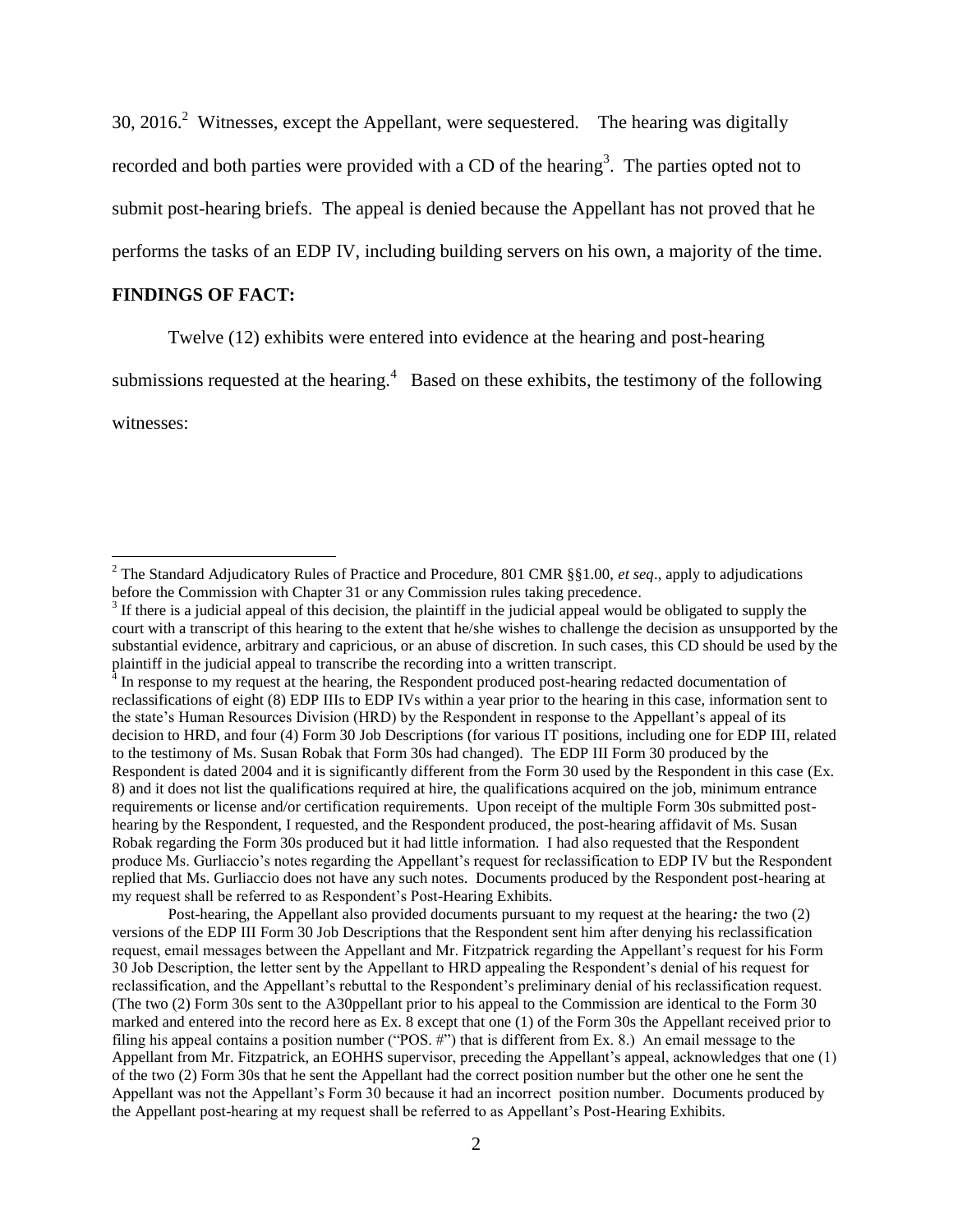30, 2016.<sup>2</sup> Witnesses, except the Appellant, were sequestered. The hearing was digitally recorded and both parties were provided with a CD of the hearing<sup>3</sup>. The parties opted not to submit post-hearing briefs. The appeal is denied because the Appellant has not proved that he performs the tasks of an EDP IV, including building servers on his own, a majority of the time.

### **FINDINGS OF FACT:**

Twelve (12) exhibits were entered into evidence at the hearing and post-hearing

submissions requested at the hearing.<sup>4</sup> Based on these exhibits, the testimony of the following

witnesses:

 $\overline{a}$ 

Post-hearing, the Appellant also provided documents pursuant to my request at the hearing*:* the two (2) versions of the EDP III Form 30 Job Descriptions that the Respondent sent him after denying his reclassification request, email messages between the Appellant and Mr. Fitzpatrick regarding the Appellant's request for his Form 30 Job Description, the letter sent by the Appellant to HRD appealing the Respondent's denial of his request for reclassification, and the Appellant's rebuttal to the Respondent's preliminary denial of his reclassification request. (The two (2) Form 30s sent to the A30ppellant prior to his appeal to the Commission are identical to the Form 30 marked and entered into the record here as Ex. 8 except that one (1) of the Form 30s the Appellant received prior to filing his appeal contains a position number ("POS. #") that is different from Ex. 8.) An email message to the Appellant from Mr. Fitzpatrick, an EOHHS supervisor, preceding the Appellant's appeal, acknowledges that one (1) of the two (2) Form 30s that he sent the Appellant had the correct position number but the other one he sent the Appellant was not the Appellant's Form 30 because it had an incorrect position number. Documents produced by the Appellant post-hearing at my request shall be referred to as Appellant's Post-Hearing Exhibits.

<sup>2</sup> The Standard Adjudicatory Rules of Practice and Procedure, 801 CMR §§1.00, *et seq*., apply to adjudications before the Commission with Chapter 31 or any Commission rules taking precedence.

 $3$  If there is a judicial appeal of this decision, the plaintiff in the judicial appeal would be obligated to supply the court with a transcript of this hearing to the extent that he/she wishes to challenge the decision as unsupported by the substantial evidence, arbitrary and capricious, or an abuse of discretion. In such cases, this CD should be used by the plaintiff in the judicial appeal to transcribe the recording into a written transcript.<br><sup>4</sup> In response to my request at the hearing, the Respondent produced post-hearing redacted documentation of

reclassifications of eight (8) EDP IIIs to EDP IVs within a year prior to the hearing in this case, information sent to the state's Human Resources Division (HRD) by the Respondent in response to the Appellant's appeal of its decision to HRD, and four (4) Form 30 Job Descriptions (for various IT positions, including one for EDP III, related to the testimony of Ms. Susan Robak that Form 30s had changed). The EDP III Form 30 produced by the Respondent is dated 2004 and it is significantly different from the Form 30 used by the Respondent in this case (Ex. 8) and it does not list the qualifications required at hire, the qualifications acquired on the job, minimum entrance requirements or license and/or certification requirements. Upon receipt of the multiple Form 30s submitted posthearing by the Respondent, I requested, and the Respondent produced, the post-hearing affidavit of Ms. Susan Robak regarding the Form 30s produced but it had little information. I had also requested that the Respondent produce Ms. Gurliaccio's notes regarding the Appellant's request for reclassification to EDP IV but the Respondent replied that Ms. Gurliaccio does not have any such notes. Documents produced by the Respondent post-hearing at my request shall be referred to as Respondent's Post-Hearing Exhibits.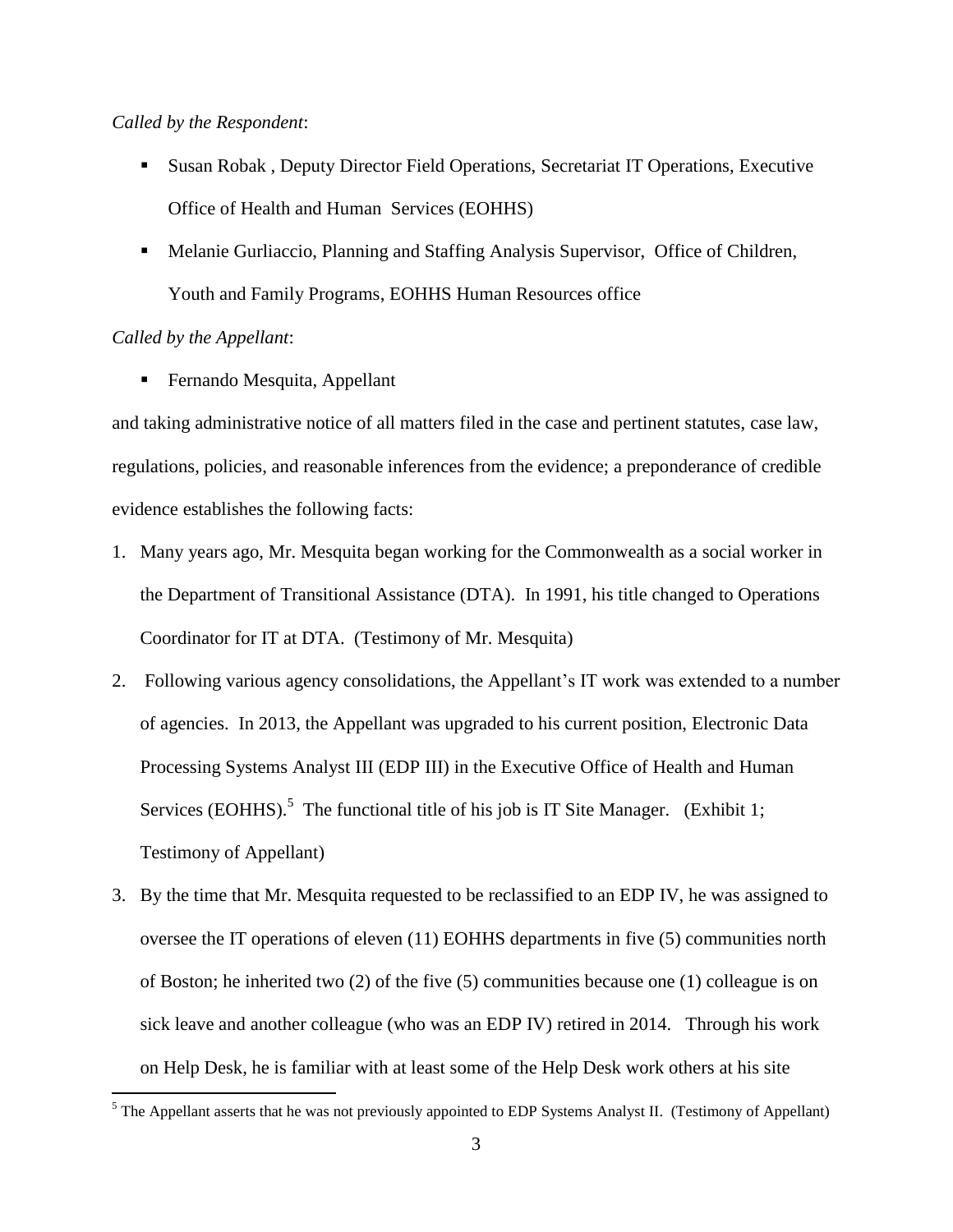#### *Called by the Respondent*:

- Susan Robak , Deputy Director Field Operations, Secretariat IT Operations, Executive Office of Health and Human Services (EOHHS)
- Melanie Gurliaccio, Planning and Staffing Analysis Supervisor, Office of Children, Youth and Family Programs, EOHHS Human Resources office

### *Called by the Appellant*:

 $\overline{a}$ 

■ Fernando Mesquita, Appellant

and taking administrative notice of all matters filed in the case and pertinent statutes, case law, regulations, policies, and reasonable inferences from the evidence; a preponderance of credible evidence establishes the following facts:

- 1. Many years ago, Mr. Mesquita began working for the Commonwealth as a social worker in the Department of Transitional Assistance (DTA). In 1991, his title changed to Operations Coordinator for IT at DTA. (Testimony of Mr. Mesquita)
- 2. Following various agency consolidations, the Appellant's IT work was extended to a number of agencies. In 2013, the Appellant was upgraded to his current position, Electronic Data Processing Systems Analyst III (EDP III) in the Executive Office of Health and Human Services (EOHHS).<sup>5</sup> The functional title of his job is IT Site Manager. (Exhibit 1; Testimony of Appellant)
- 3. By the time that Mr. Mesquita requested to be reclassified to an EDP IV, he was assigned to oversee the IT operations of eleven (11) EOHHS departments in five (5) communities north of Boston; he inherited two (2) of the five (5) communities because one (1) colleague is on sick leave and another colleague (who was an EDP IV) retired in 2014. Through his work on Help Desk, he is familiar with at least some of the Help Desk work others at his site

 $<sup>5</sup>$  The Appellant asserts that he was not previously appointed to EDP Systems Analyst II. (Testimony of Appellant)</sup>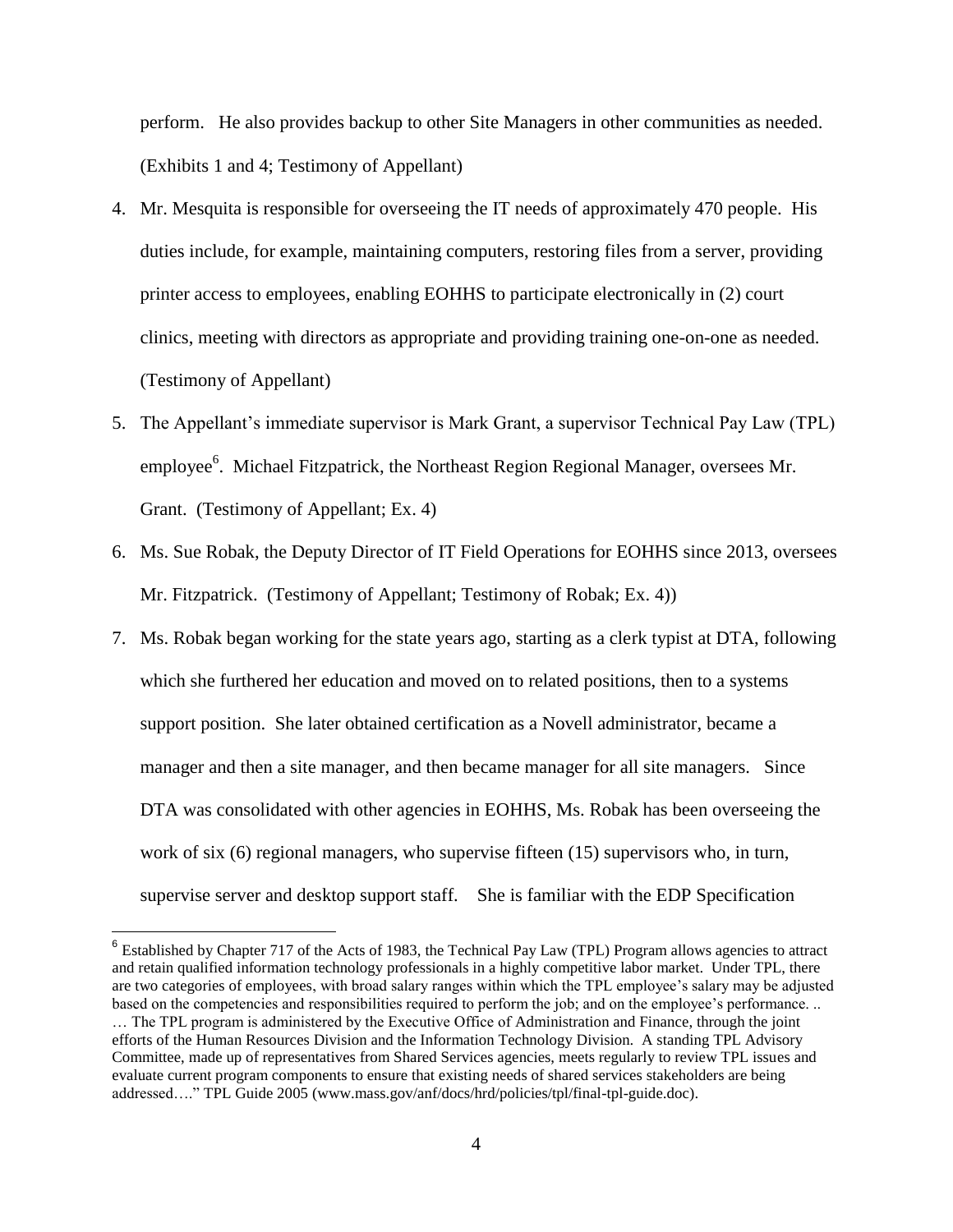perform. He also provides backup to other Site Managers in other communities as needed. (Exhibits 1 and 4; Testimony of Appellant)

- 4. Mr. Mesquita is responsible for overseeing the IT needs of approximately 470 people. His duties include, for example, maintaining computers, restoring files from a server, providing printer access to employees, enabling EOHHS to participate electronically in (2) court clinics, meeting with directors as appropriate and providing training one-on-one as needed. (Testimony of Appellant)
- 5. The Appellant's immediate supervisor is Mark Grant, a supervisor Technical Pay Law (TPL) employee<sup>6</sup>. Michael Fitzpatrick, the Northeast Region Regional Manager, oversees Mr. Grant. (Testimony of Appellant; Ex. 4)
- 6. Ms. Sue Robak, the Deputy Director of IT Field Operations for EOHHS since 2013, oversees Mr. Fitzpatrick. (Testimony of Appellant; Testimony of Robak; Ex. 4))
- 7. Ms. Robak began working for the state years ago, starting as a clerk typist at DTA, following which she furthered her education and moved on to related positions, then to a systems support position. She later obtained certification as a Novell administrator, became a manager and then a site manager, and then became manager for all site managers. Since DTA was consolidated with other agencies in EOHHS, Ms. Robak has been overseeing the work of six (6) regional managers, who supervise fifteen (15) supervisors who, in turn, supervise server and desktop support staff. She is familiar with the EDP Specification

 $\overline{a}$ 

 $6$  Established by Chapter 717 of the Acts of 1983, the Technical Pay Law (TPL) Program allows agencies to attract and retain qualified information technology professionals in a highly competitive labor market. Under TPL, there are two categories of employees, with broad salary ranges within which the TPL employee's salary may be adjusted based on the competencies and responsibilities required to perform the job; and on the employee's performance. ..

<sup>…</sup> The TPL program is administered by the Executive Office of Administration and Finance, through the joint efforts of the Human Resources Division and the Information Technology Division. A standing TPL Advisory Committee, made up of representatives from Shared Services agencies, meets regularly to review TPL issues and evaluate current program components to ensure that existing needs of shared services stakeholders are being addressed…." TPL Guide 2005 (www.mass.gov/anf/docs/hrd/policies/tpl/final-tpl-guide.doc).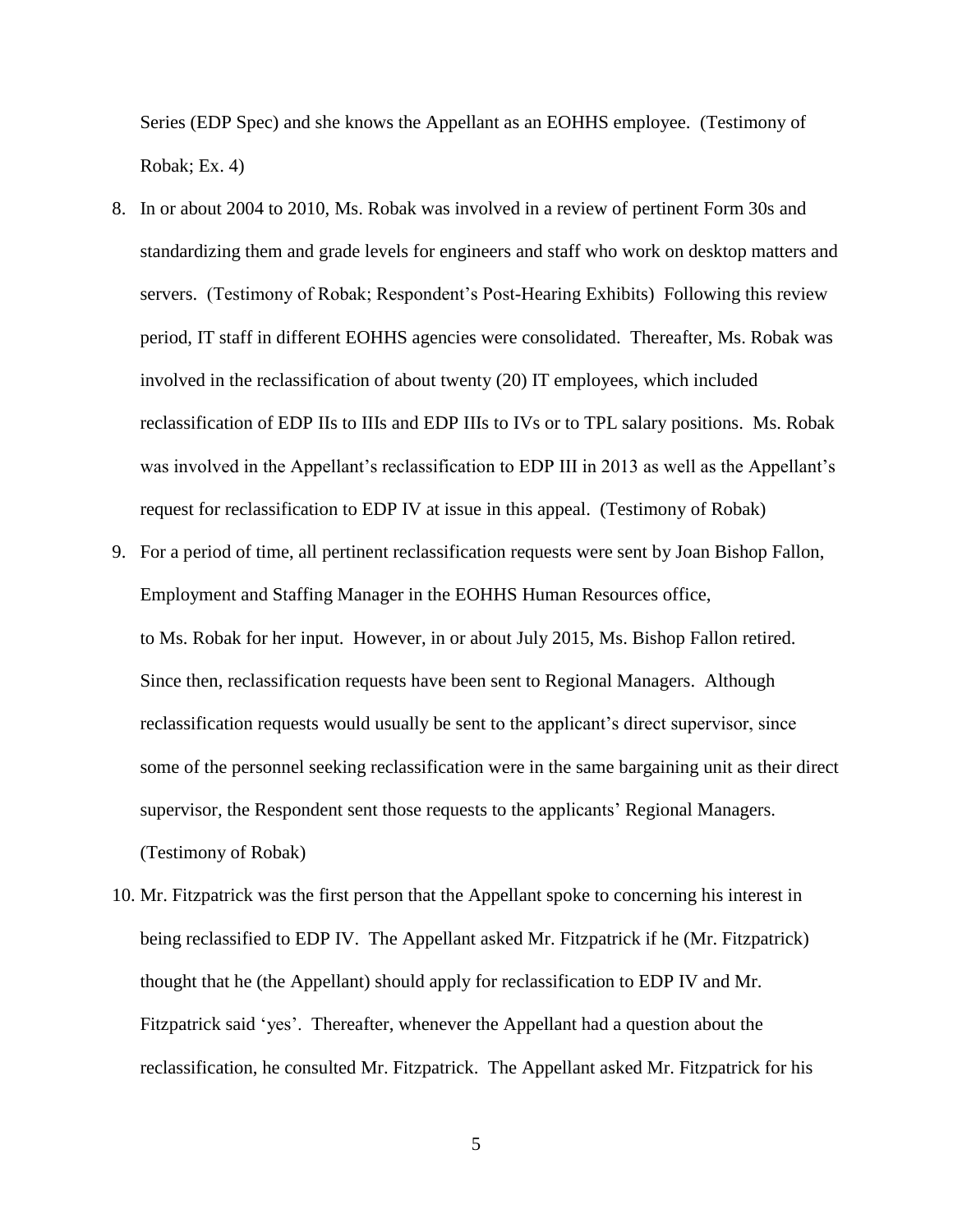Series (EDP Spec) and she knows the Appellant as an EOHHS employee. (Testimony of Robak; Ex. 4)

- 8. In or about 2004 to 2010, Ms. Robak was involved in a review of pertinent Form 30s and standardizing them and grade levels for engineers and staff who work on desktop matters and servers. (Testimony of Robak; Respondent's Post-Hearing Exhibits) Following this review period, IT staff in different EOHHS agencies were consolidated. Thereafter, Ms. Robak was involved in the reclassification of about twenty (20) IT employees, which included reclassification of EDP IIs to IIIs and EDP IIIs to IVs or to TPL salary positions. Ms. Robak was involved in the Appellant's reclassification to EDP III in 2013 as well as the Appellant's request for reclassification to EDP IV at issue in this appeal. (Testimony of Robak)
- 9. For a period of time, all pertinent reclassification requests were sent by Joan Bishop Fallon, Employment and Staffing Manager in the EOHHS Human Resources office, to Ms. Robak for her input. However, in or about July 2015, Ms. Bishop Fallon retired. Since then, reclassification requests have been sent to Regional Managers. Although reclassification requests would usually be sent to the applicant's direct supervisor, since some of the personnel seeking reclassification were in the same bargaining unit as their direct supervisor, the Respondent sent those requests to the applicants' Regional Managers. (Testimony of Robak)
- 10. Mr. Fitzpatrick was the first person that the Appellant spoke to concerning his interest in being reclassified to EDP IV. The Appellant asked Mr. Fitzpatrick if he (Mr. Fitzpatrick) thought that he (the Appellant) should apply for reclassification to EDP IV and Mr. Fitzpatrick said 'yes'. Thereafter, whenever the Appellant had a question about the reclassification, he consulted Mr. Fitzpatrick. The Appellant asked Mr. Fitzpatrick for his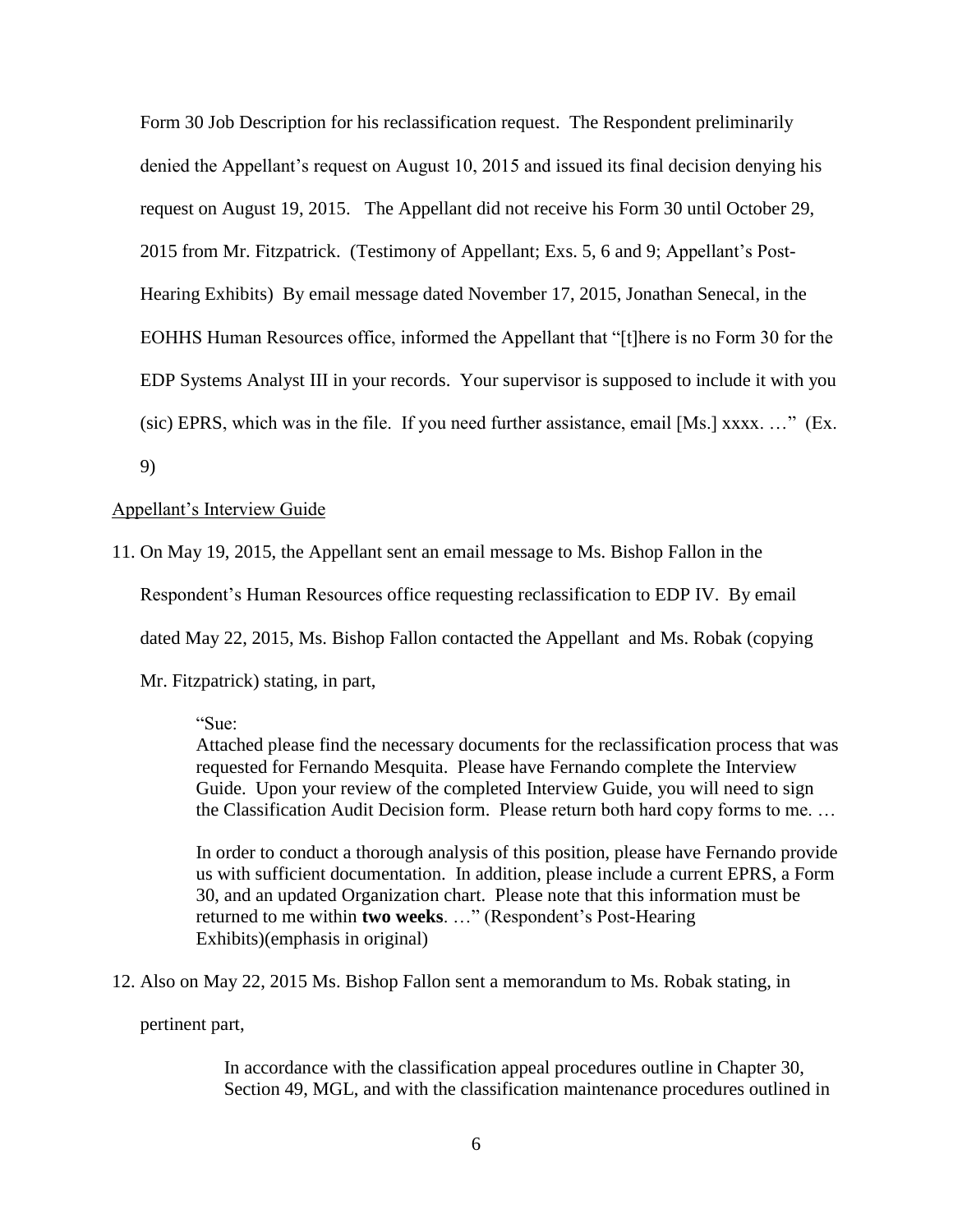Form 30 Job Description for his reclassification request. The Respondent preliminarily denied the Appellant's request on August 10, 2015 and issued its final decision denying his request on August 19, 2015. The Appellant did not receive his Form 30 until October 29, 2015 from Mr. Fitzpatrick. (Testimony of Appellant; Exs. 5, 6 and 9; Appellant's Post-Hearing Exhibits) By email message dated November 17, 2015, Jonathan Senecal, in the EOHHS Human Resources office, informed the Appellant that "[t]here is no Form 30 for the EDP Systems Analyst III in your records. Your supervisor is supposed to include it with you (sic) EPRS, which was in the file. If you need further assistance, email [Ms.] xxxx. …" (Ex. 9)

#### Appellant's Interview Guide

11. On May 19, 2015, the Appellant sent an email message to Ms. Bishop Fallon in the Respondent's Human Resources office requesting reclassification to EDP IV. By email dated May 22, 2015, Ms. Bishop Fallon contacted the Appellant and Ms. Robak (copying Mr. Fitzpatrick) stating, in part,

"Sue:

Attached please find the necessary documents for the reclassification process that was requested for Fernando Mesquita. Please have Fernando complete the Interview Guide. Upon your review of the completed Interview Guide, you will need to sign the Classification Audit Decision form. Please return both hard copy forms to me. …

In order to conduct a thorough analysis of this position, please have Fernando provide us with sufficient documentation. In addition, please include a current EPRS, a Form 30, and an updated Organization chart. Please note that this information must be returned to me within **two weeks**. …" (Respondent's Post-Hearing Exhibits)(emphasis in original)

12. Also on May 22, 2015 Ms. Bishop Fallon sent a memorandum to Ms. Robak stating, in

pertinent part,

In accordance with the classification appeal procedures outline in Chapter 30, Section 49, MGL, and with the classification maintenance procedures outlined in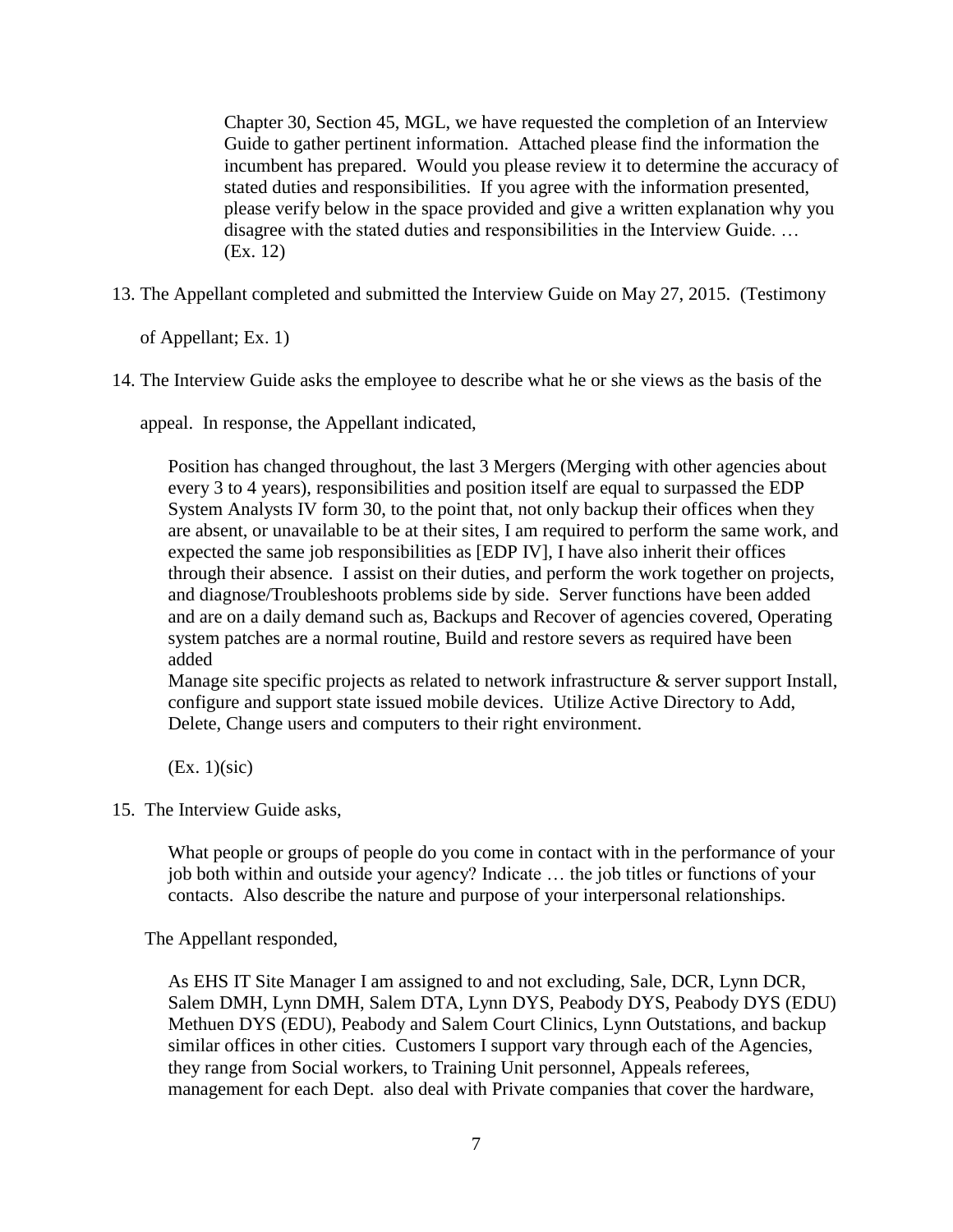Chapter 30, Section 45, MGL, we have requested the completion of an Interview Guide to gather pertinent information. Attached please find the information the incumbent has prepared. Would you please review it to determine the accuracy of stated duties and responsibilities. If you agree with the information presented, please verify below in the space provided and give a written explanation why you disagree with the stated duties and responsibilities in the Interview Guide. … (Ex. 12)

13. The Appellant completed and submitted the Interview Guide on May 27, 2015. (Testimony

of Appellant; Ex. 1)

14. The Interview Guide asks the employee to describe what he or she views as the basis of the

appeal. In response, the Appellant indicated,

Position has changed throughout, the last 3 Mergers (Merging with other agencies about every 3 to 4 years), responsibilities and position itself are equal to surpassed the EDP System Analysts IV form 30, to the point that, not only backup their offices when they are absent, or unavailable to be at their sites, I am required to perform the same work, and expected the same job responsibilities as [EDP IV], I have also inherit their offices through their absence. I assist on their duties, and perform the work together on projects, and diagnose/Troubleshoots problems side by side. Server functions have been added and are on a daily demand such as, Backups and Recover of agencies covered, Operating system patches are a normal routine, Build and restore severs as required have been added

Manage site specific projects as related to network infrastructure & server support Install, configure and support state issued mobile devices. Utilize Active Directory to Add, Delete, Change users and computers to their right environment.

 $(EX. 1)(sic)$ 

15. The Interview Guide asks,

What people or groups of people do you come in contact with in the performance of your job both within and outside your agency? Indicate … the job titles or functions of your contacts. Also describe the nature and purpose of your interpersonal relationships.

The Appellant responded,

As EHS IT Site Manager I am assigned to and not excluding, Sale, DCR, Lynn DCR, Salem DMH, Lynn DMH, Salem DTA, Lynn DYS, Peabody DYS, Peabody DYS (EDU) Methuen DYS (EDU), Peabody and Salem Court Clinics, Lynn Outstations, and backup similar offices in other cities. Customers I support vary through each of the Agencies, they range from Social workers, to Training Unit personnel, Appeals referees, management for each Dept. also deal with Private companies that cover the hardware,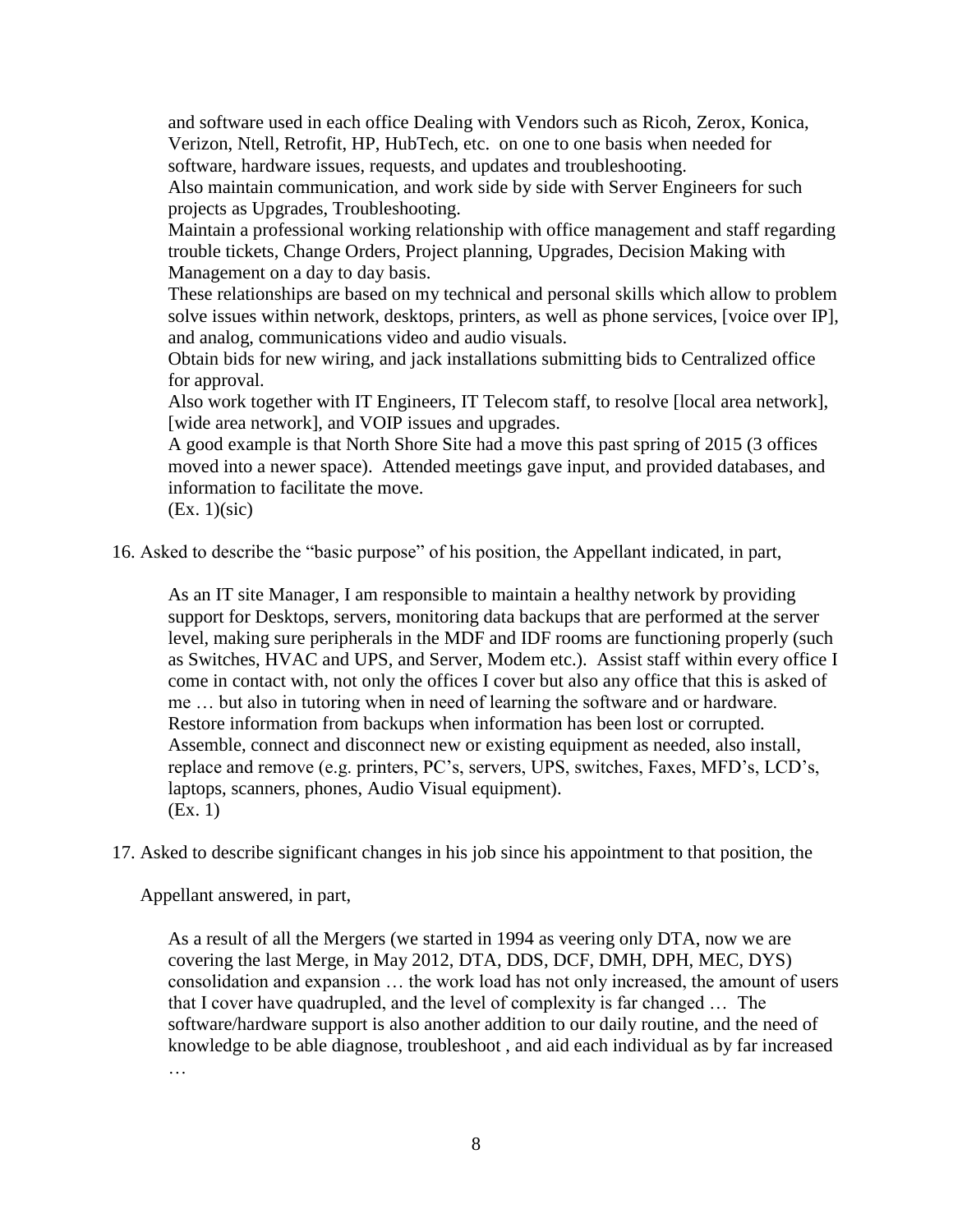and software used in each office Dealing with Vendors such as Ricoh, Zerox, Konica, Verizon, Ntell, Retrofit, HP, HubTech, etc. on one to one basis when needed for software, hardware issues, requests, and updates and troubleshooting.

Also maintain communication, and work side by side with Server Engineers for such projects as Upgrades, Troubleshooting.

Maintain a professional working relationship with office management and staff regarding trouble tickets, Change Orders, Project planning, Upgrades, Decision Making with Management on a day to day basis.

These relationships are based on my technical and personal skills which allow to problem solve issues within network, desktops, printers, as well as phone services, [voice over IP], and analog, communications video and audio visuals.

Obtain bids for new wiring, and jack installations submitting bids to Centralized office for approval.

Also work together with IT Engineers, IT Telecom staff, to resolve [local area network], [wide area network], and VOIP issues and upgrades.

A good example is that North Shore Site had a move this past spring of 2015 (3 offices moved into a newer space). Attended meetings gave input, and provided databases, and information to facilitate the move.

(Ex. 1)(sic)

16. Asked to describe the "basic purpose" of his position, the Appellant indicated, in part,

As an IT site Manager, I am responsible to maintain a healthy network by providing support for Desktops, servers, monitoring data backups that are performed at the server level, making sure peripherals in the MDF and IDF rooms are functioning properly (such as Switches, HVAC and UPS, and Server, Modem etc.). Assist staff within every office I come in contact with, not only the offices I cover but also any office that this is asked of me … but also in tutoring when in need of learning the software and or hardware. Restore information from backups when information has been lost or corrupted. Assemble, connect and disconnect new or existing equipment as needed, also install, replace and remove (e.g. printers, PC's, servers, UPS, switches, Faxes, MFD's, LCD's, laptops, scanners, phones, Audio Visual equipment). (Ex. 1)

17. Asked to describe significant changes in his job since his appointment to that position, the

Appellant answered, in part,

As a result of all the Mergers (we started in 1994 as veering only DTA, now we are covering the last Merge, in May 2012, DTA, DDS, DCF, DMH, DPH, MEC, DYS) consolidation and expansion … the work load has not only increased, the amount of users that I cover have quadrupled, and the level of complexity is far changed … The software/hardware support is also another addition to our daily routine, and the need of knowledge to be able diagnose, troubleshoot , and aid each individual as by far increased …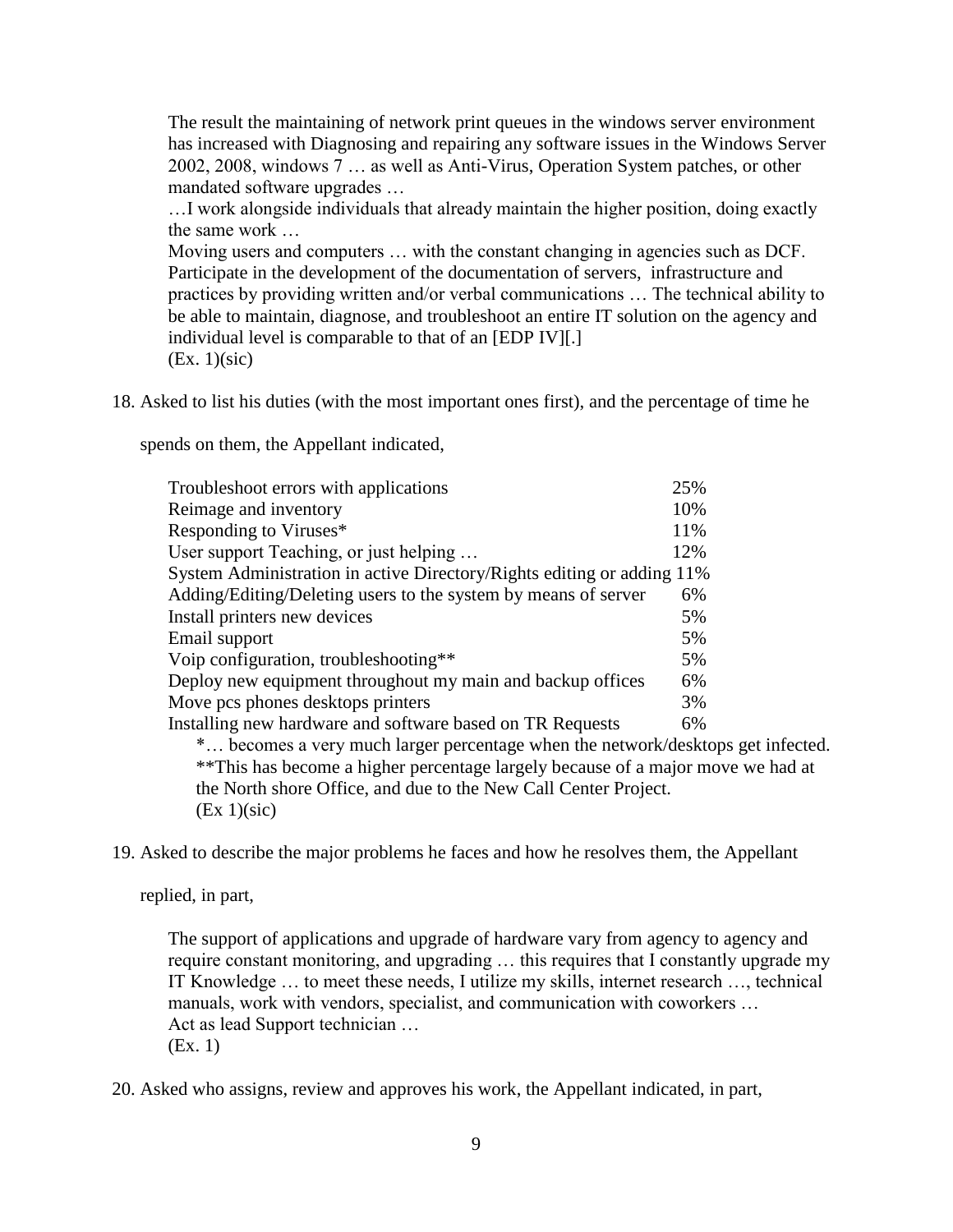The result the maintaining of network print queues in the windows server environment has increased with Diagnosing and repairing any software issues in the Windows Server 2002, 2008, windows 7 … as well as Anti-Virus, Operation System patches, or other mandated software upgrades …

…I work alongside individuals that already maintain the higher position, doing exactly the same work …

Moving users and computers … with the constant changing in agencies such as DCF. Participate in the development of the documentation of servers, infrastructure and practices by providing written and/or verbal communications … The technical ability to be able to maintain, diagnose, and troubleshoot an entire IT solution on the agency and individual level is comparable to that of an [EDP IV][.] (Ex. 1)(sic)

18. Asked to list his duties (with the most important ones first), and the percentage of time he

spends on them, the Appellant indicated,

| Troubleshoot errors with applications                                           | 25% |  |
|---------------------------------------------------------------------------------|-----|--|
| Reimage and inventory                                                           | 10% |  |
| Responding to Viruses*                                                          | 11% |  |
| User support Teaching, or just helping                                          | 12% |  |
| System Administration in active Directory/Rights editing or adding 11%          |     |  |
| Adding/Editing/Deleting users to the system by means of server                  | 6%  |  |
| Install printers new devices                                                    | 5%  |  |
| Email support                                                                   | 5%  |  |
| Voip configuration, troubleshooting**                                           | 5%  |  |
| Deploy new equipment throughout my main and backup offices                      | 6%  |  |
| Move pcs phones desktops printers                                               | 3%  |  |
| Installing new hardware and software based on TR Requests                       | 6%  |  |
| * becomes a very much larger percentage when the network/desktops get infected. |     |  |
| **This has become a higher percentage largely because of a major move we had at |     |  |
| the North shore Office, and due to the New Call Center Project.                 |     |  |
| (EX 1)(sic)                                                                     |     |  |

19. Asked to describe the major problems he faces and how he resolves them, the Appellant

replied, in part,

The support of applications and upgrade of hardware vary from agency to agency and require constant monitoring, and upgrading … this requires that I constantly upgrade my IT Knowledge … to meet these needs, I utilize my skills, internet research …, technical manuals, work with vendors, specialist, and communication with coworkers … Act as lead Support technician … (Ex. 1)

20. Asked who assigns, review and approves his work, the Appellant indicated, in part,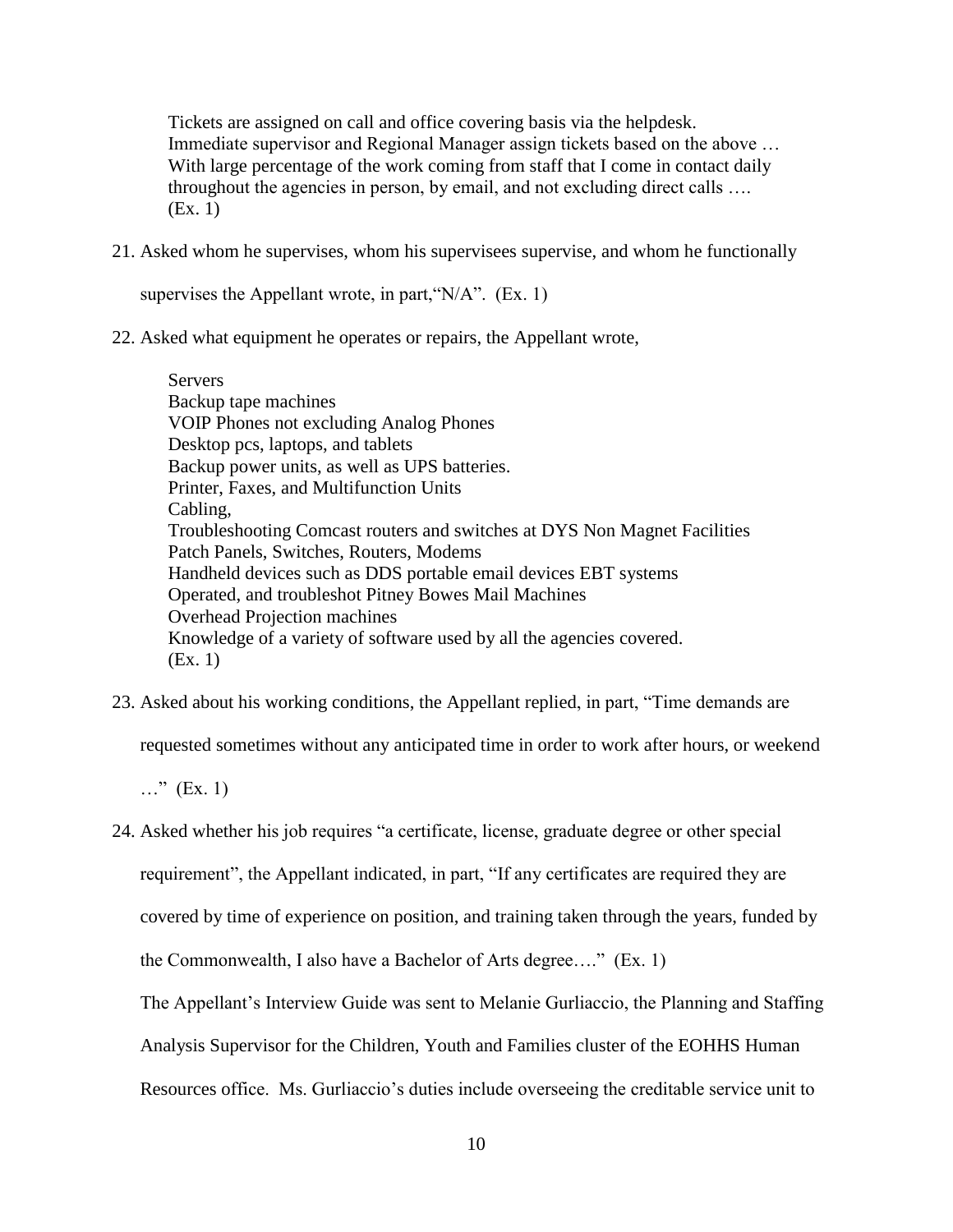Tickets are assigned on call and office covering basis via the helpdesk. Immediate supervisor and Regional Manager assign tickets based on the above … With large percentage of the work coming from staff that I come in contact daily throughout the agencies in person, by email, and not excluding direct calls …. (Ex. 1)

21. Asked whom he supervises, whom his supervisees supervise, and whom he functionally

supervises the Appellant wrote, in part, " $N/A$ ". (Ex. 1)

22. Asked what equipment he operates or repairs, the Appellant wrote,

**Servers** Backup tape machines VOIP Phones not excluding Analog Phones Desktop pcs, laptops, and tablets Backup power units, as well as UPS batteries. Printer, Faxes, and Multifunction Units Cabling, Troubleshooting Comcast routers and switches at DYS Non Magnet Facilities Patch Panels, Switches, Routers, Modems Handheld devices such as DDS portable email devices EBT systems Operated, and troubleshot Pitney Bowes Mail Machines Overhead Projection machines Knowledge of a variety of software used by all the agencies covered. (Ex. 1)

23. Asked about his working conditions, the Appellant replied, in part, "Time demands are

requested sometimes without any anticipated time in order to work after hours, or weekend

 $\ldots$ " (Ex. 1)

24. Asked whether his job requires "a certificate, license, graduate degree or other special

requirement", the Appellant indicated, in part, "If any certificates are required they are

covered by time of experience on position, and training taken through the years, funded by

the Commonwealth, I also have a Bachelor of Arts degree…." (Ex. 1)

The Appellant's Interview Guide was sent to Melanie Gurliaccio, the Planning and Staffing

Analysis Supervisor for the Children, Youth and Families cluster of the EOHHS Human

Resources office. Ms. Gurliaccio's duties include overseeing the creditable service unit to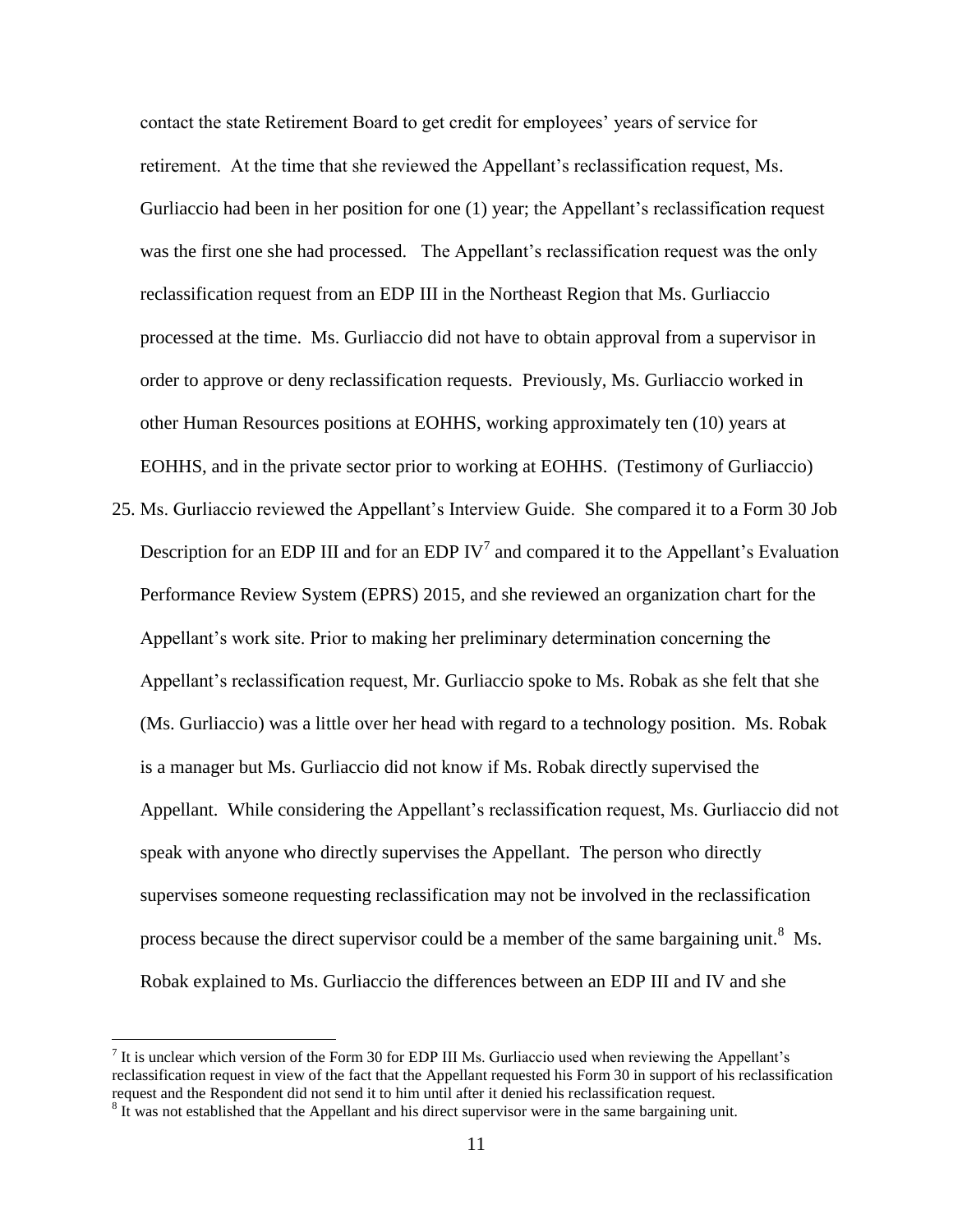contact the state Retirement Board to get credit for employees' years of service for retirement. At the time that she reviewed the Appellant's reclassification request, Ms. Gurliaccio had been in her position for one (1) year; the Appellant's reclassification request was the first one she had processed. The Appellant's reclassification request was the only reclassification request from an EDP III in the Northeast Region that Ms. Gurliaccio processed at the time. Ms. Gurliaccio did not have to obtain approval from a supervisor in order to approve or deny reclassification requests. Previously, Ms. Gurliaccio worked in other Human Resources positions at EOHHS, working approximately ten (10) years at EOHHS, and in the private sector prior to working at EOHHS. (Testimony of Gurliaccio)

25. Ms. Gurliaccio reviewed the Appellant's Interview Guide. She compared it to a Form 30 Job Description for an EDP III and for an EDP IV<sup>7</sup> and compared it to the Appellant's Evaluation Performance Review System (EPRS) 2015, and she reviewed an organization chart for the Appellant's work site. Prior to making her preliminary determination concerning the Appellant's reclassification request, Mr. Gurliaccio spoke to Ms. Robak as she felt that she (Ms. Gurliaccio) was a little over her head with regard to a technology position. Ms. Robak is a manager but Ms. Gurliaccio did not know if Ms. Robak directly supervised the Appellant. While considering the Appellant's reclassification request, Ms. Gurliaccio did not speak with anyone who directly supervises the Appellant. The person who directly supervises someone requesting reclassification may not be involved in the reclassification process because the direct supervisor could be a member of the same bargaining unit.<sup>8</sup> Ms. Robak explained to Ms. Gurliaccio the differences between an EDP III and IV and she

 $\overline{a}$ 

 $<sup>7</sup>$  It is unclear which version of the Form 30 for EDP III Ms. Gurliaccio used when reviewing the Appellant's</sup> reclassification request in view of the fact that the Appellant requested his Form 30 in support of his reclassification request and the Respondent did not send it to him until after it denied his reclassification request.

 $8 \text{ It was not established that the Appendix and his direct supervisor were in the same bargaining unit.}$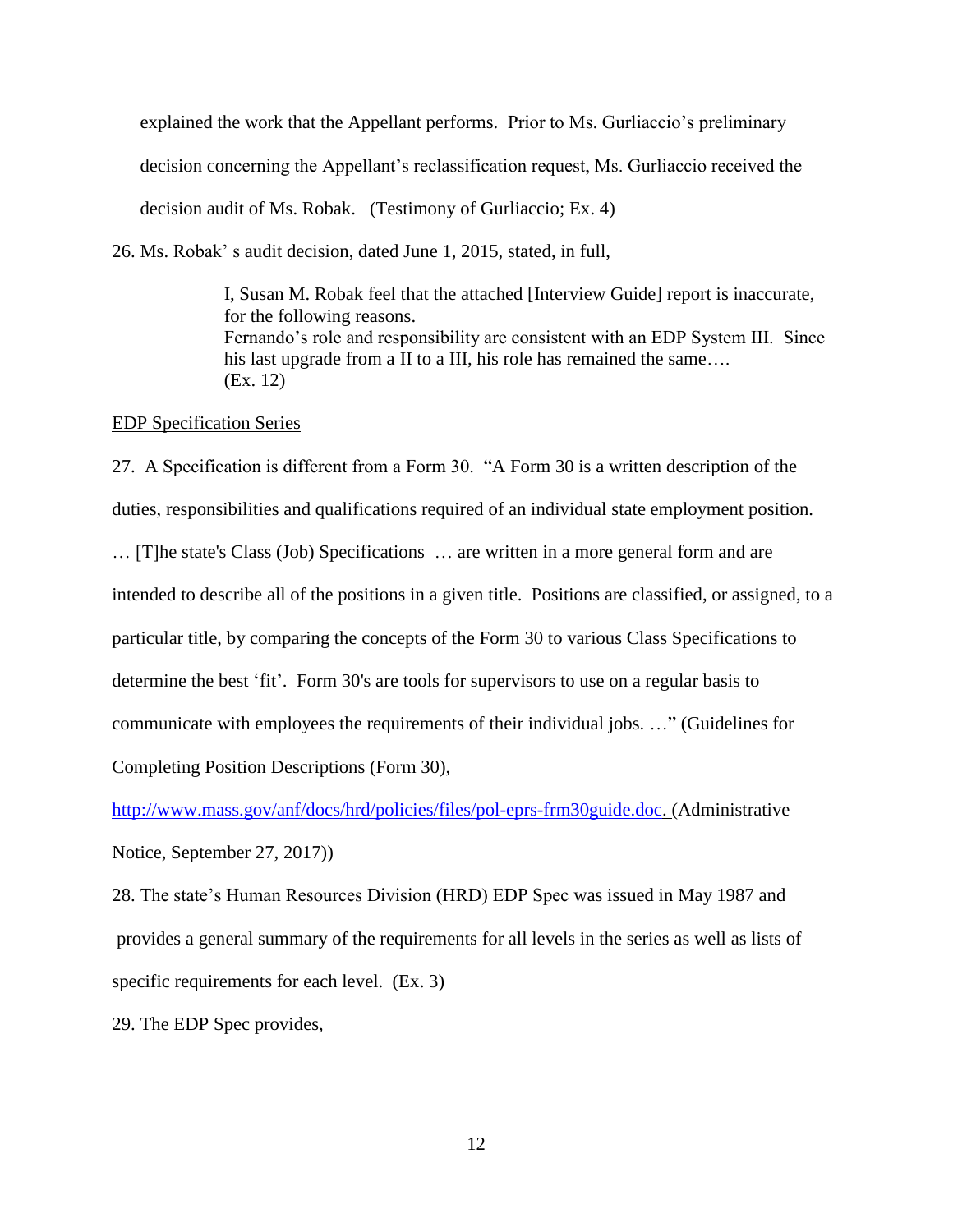explained the work that the Appellant performs. Prior to Ms. Gurliaccio's preliminary decision concerning the Appellant's reclassification request, Ms. Gurliaccio received the decision audit of Ms. Robak. (Testimony of Gurliaccio; Ex. 4)

26. Ms. Robak' s audit decision, dated June 1, 2015, stated, in full,

I, Susan M. Robak feel that the attached [Interview Guide] report is inaccurate, for the following reasons. Fernando's role and responsibility are consistent with an EDP System III. Since his last upgrade from a II to a III, his role has remained the same.... (Ex. 12)

#### EDP Specification Series

27. A Specification is different from a Form 30. "A Form 30 is a written description of the duties, responsibilities and qualifications required of an individual state employment position. … [T]he state's Class (Job) Specifications … are written in a more general form and are intended to describe all of the positions in a given title. Positions are classified, or assigned, to a particular title, by comparing the concepts of the Form 30 to various Class Specifications to determine the best 'fit'. Form 30's are tools for supervisors to use on a regular basis to communicate with employees the requirements of their individual jobs. …" (Guidelines for Completing Position Descriptions (Form 30),

[http://www.mass.gov/anf/docs/hrd/policies/files/pol-eprs-frm30guide.doc.](http://www.mass.gov/anf/docs/hrd/policies/files/pol-eprs-frm30guide.doc) (Administrative Notice, September 27, 2017))

28. The state's Human Resources Division (HRD) EDP Spec was issued in May 1987 and provides a general summary of the requirements for all levels in the series as well as lists of specific requirements for each level. (Ex. 3)

29. The EDP Spec provides,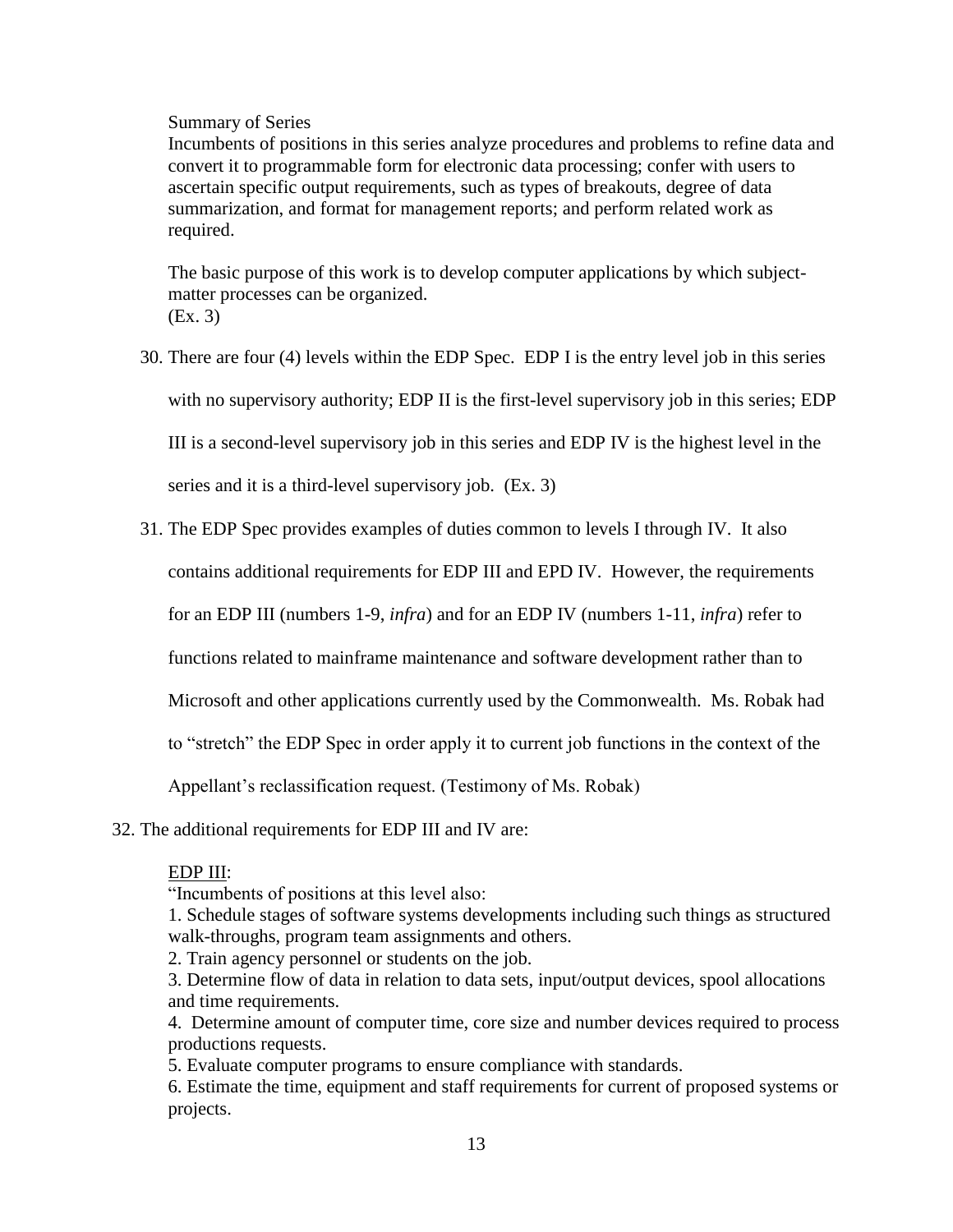### Summary of Series

Incumbents of positions in this series analyze procedures and problems to refine data and convert it to programmable form for electronic data processing; confer with users to ascertain specific output requirements, such as types of breakouts, degree of data summarization, and format for management reports; and perform related work as required.

The basic purpose of this work is to develop computer applications by which subjectmatter processes can be organized. (Ex. 3)

- 30. There are four (4) levels within the EDP Spec. EDP I is the entry level job in this series with no supervisory authority; EDP II is the first-level supervisory job in this series; EDP III is a second-level supervisory job in this series and EDP IV is the highest level in the series and it is a third-level supervisory job. (Ex. 3)
- 31. The EDP Spec provides examples of duties common to levels I through IV. It also

contains additional requirements for EDP III and EPD IV. However, the requirements

for an EDP III (numbers 1-9, *infra*) and for an EDP IV (numbers 1-11, *infra*) refer to

functions related to mainframe maintenance and software development rather than to

Microsoft and other applications currently used by the Commonwealth. Ms. Robak had

to "stretch" the EDP Spec in order apply it to current job functions in the context of the

Appellant's reclassification request. (Testimony of Ms. Robak)

32. The additional requirements for EDP III and IV are:

## EDP III:

"Incumbents of positions at this level also:

1. Schedule stages of software systems developments including such things as structured walk-throughs, program team assignments and others.

2. Train agency personnel or students on the job.

3. Determine flow of data in relation to data sets, input/output devices, spool allocations and time requirements.

4. Determine amount of computer time, core size and number devices required to process productions requests.

5. Evaluate computer programs to ensure compliance with standards.

6. Estimate the time, equipment and staff requirements for current of proposed systems or projects.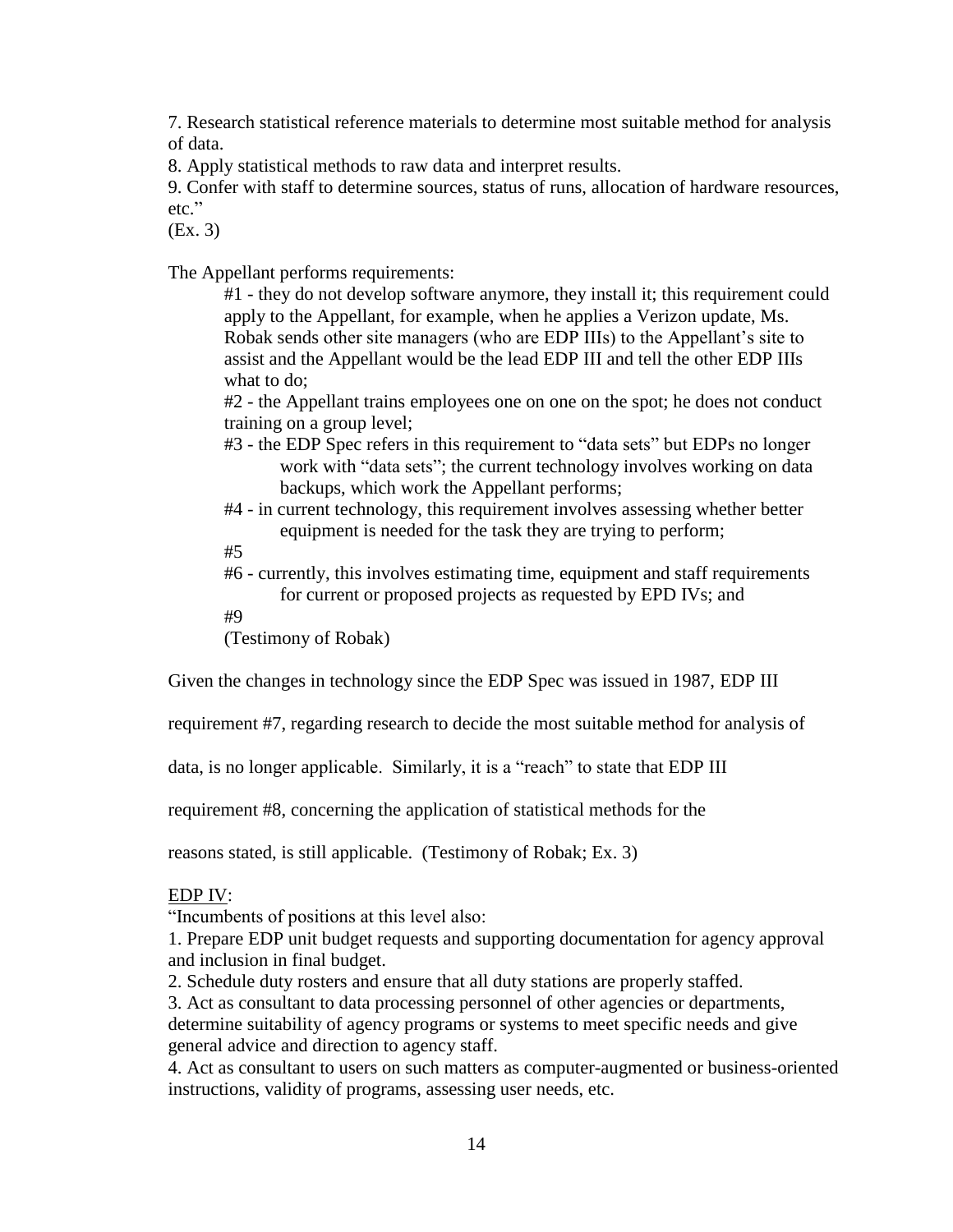7. Research statistical reference materials to determine most suitable method for analysis of data.

8. Apply statistical methods to raw data and interpret results.

9. Confer with staff to determine sources, status of runs, allocation of hardware resources, etc."

(Ex. 3)

The Appellant performs requirements:

#1 - they do not develop software anymore, they install it; this requirement could apply to the Appellant, for example, when he applies a Verizon update, Ms. Robak sends other site managers (who are EDP IIIs) to the Appellant's site to assist and the Appellant would be the lead EDP III and tell the other EDP IIIs what to do;

#2 - the Appellant trains employees one on one on the spot; he does not conduct training on a group level;

- #3 the EDP Spec refers in this requirement to "data sets" but EDPs no longer work with "data sets"; the current technology involves working on data backups, which work the Appellant performs;
- #4 in current technology, this requirement involves assessing whether better equipment is needed for the task they are trying to perform;
- #5
- #6 currently, this involves estimating time, equipment and staff requirements for current or proposed projects as requested by EPD IVs; and

#9

(Testimony of Robak)

Given the changes in technology since the EDP Spec was issued in 1987, EDP III

requirement #7, regarding research to decide the most suitable method for analysis of

data, is no longer applicable. Similarly, it is a "reach" to state that EDP III

requirement #8, concerning the application of statistical methods for the

reasons stated, is still applicable. (Testimony of Robak; Ex. 3)

# EDP IV:

"Incumbents of positions at this level also:

1. Prepare EDP unit budget requests and supporting documentation for agency approval and inclusion in final budget.

2. Schedule duty rosters and ensure that all duty stations are properly staffed.

3. Act as consultant to data processing personnel of other agencies or departments, determine suitability of agency programs or systems to meet specific needs and give general advice and direction to agency staff.

4. Act as consultant to users on such matters as computer-augmented or business-oriented instructions, validity of programs, assessing user needs, etc.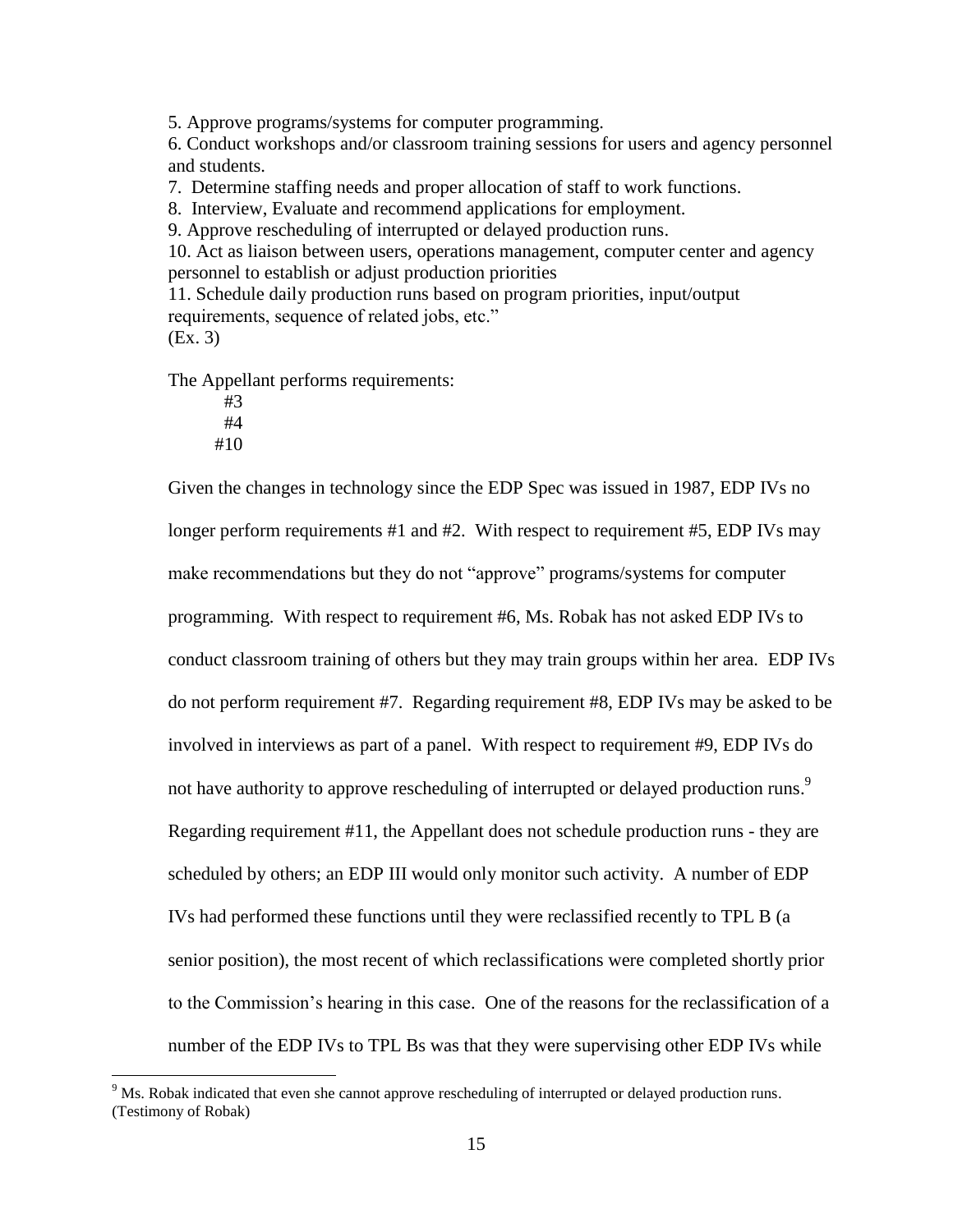5. Approve programs/systems for computer programming.

6. Conduct workshops and/or classroom training sessions for users and agency personnel and students.

7. Determine staffing needs and proper allocation of staff to work functions.

8. Interview, Evaluate and recommend applications for employment.

9. Approve rescheduling of interrupted or delayed production runs.

10. Act as liaison between users, operations management, computer center and agency personnel to establish or adjust production priorities

11. Schedule daily production runs based on program priorities, input/output requirements, sequence of related jobs, etc." (Ex. 3)

The Appellant performs requirements:

#3 #4 #10

 $\overline{a}$ 

Given the changes in technology since the EDP Spec was issued in 1987, EDP IVs no longer perform requirements #1 and #2. With respect to requirement #5, EDP IVs may make recommendations but they do not "approve" programs/systems for computer programming. With respect to requirement #6, Ms. Robak has not asked EDP IVs to conduct classroom training of others but they may train groups within her area. EDP IVs do not perform requirement #7. Regarding requirement #8, EDP IVs may be asked to be involved in interviews as part of a panel. With respect to requirement #9, EDP IVs do not have authority to approve rescheduling of interrupted or delayed production runs.<sup>9</sup> Regarding requirement #11, the Appellant does not schedule production runs - they are scheduled by others; an EDP III would only monitor such activity. A number of EDP IVs had performed these functions until they were reclassified recently to TPL B (a senior position), the most recent of which reclassifications were completed shortly prior to the Commission's hearing in this case. One of the reasons for the reclassification of a number of the EDP IVs to TPL Bs was that they were supervising other EDP IVs while

<sup>&</sup>lt;sup>9</sup> Ms. Robak indicated that even she cannot approve rescheduling of interrupted or delayed production runs. (Testimony of Robak)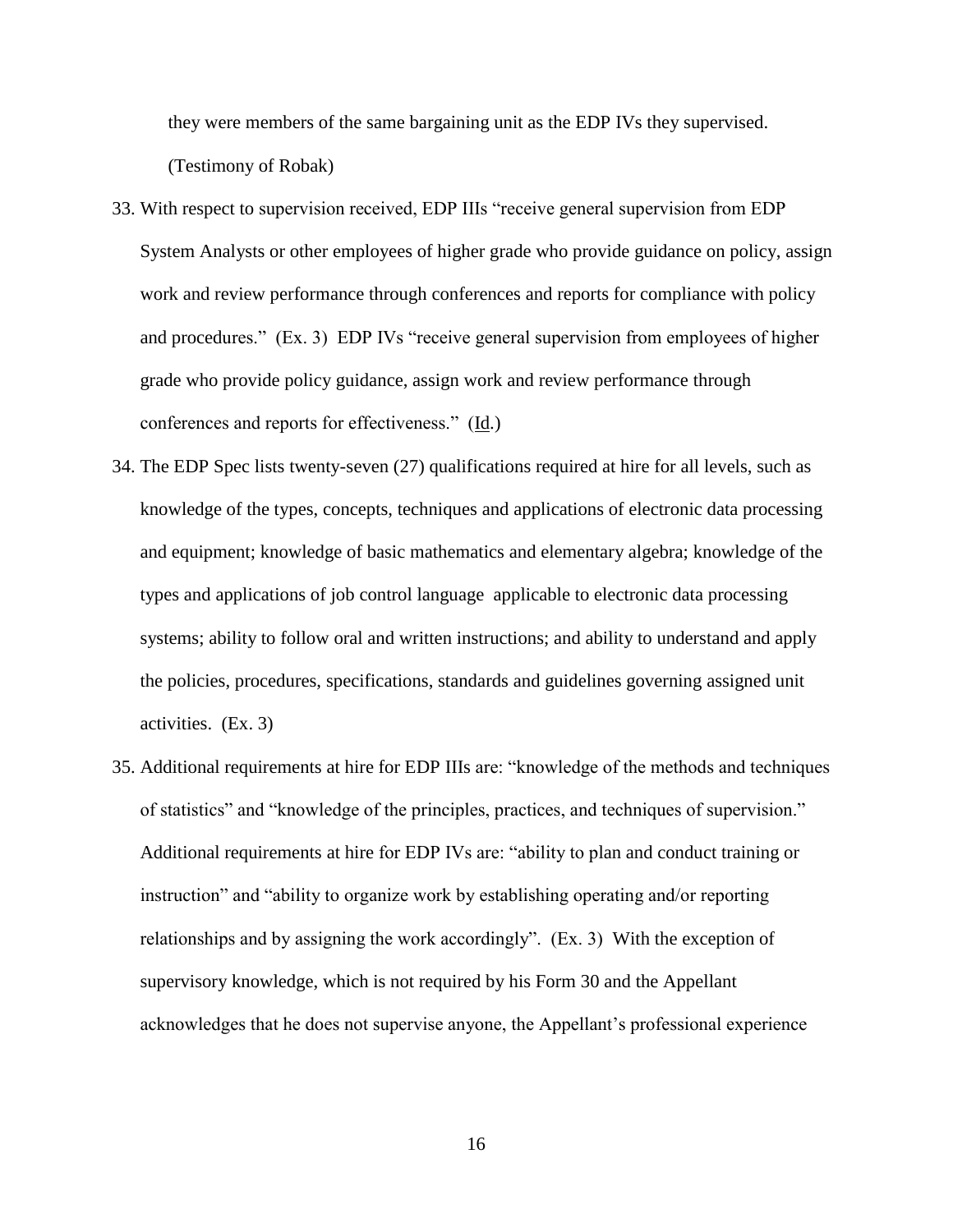they were members of the same bargaining unit as the EDP IVs they supervised. (Testimony of Robak)

- 33. With respect to supervision received, EDP IIIs "receive general supervision from EDP System Analysts or other employees of higher grade who provide guidance on policy, assign work and review performance through conferences and reports for compliance with policy and procedures." (Ex. 3) EDP IVs "receive general supervision from employees of higher grade who provide policy guidance, assign work and review performance through conferences and reports for effectiveness." (Id.)
- 34. The EDP Spec lists twenty-seven (27) qualifications required at hire for all levels, such as knowledge of the types, concepts, techniques and applications of electronic data processing and equipment; knowledge of basic mathematics and elementary algebra; knowledge of the types and applications of job control language applicable to electronic data processing systems; ability to follow oral and written instructions; and ability to understand and apply the policies, procedures, specifications, standards and guidelines governing assigned unit activities. (Ex. 3)
- 35. Additional requirements at hire for EDP IIIs are: "knowledge of the methods and techniques of statistics" and "knowledge of the principles, practices, and techniques of supervision." Additional requirements at hire for EDP IVs are: "ability to plan and conduct training or instruction" and "ability to organize work by establishing operating and/or reporting relationships and by assigning the work accordingly". (Ex. 3) With the exception of supervisory knowledge, which is not required by his Form 30 and the Appellant acknowledges that he does not supervise anyone, the Appellant's professional experience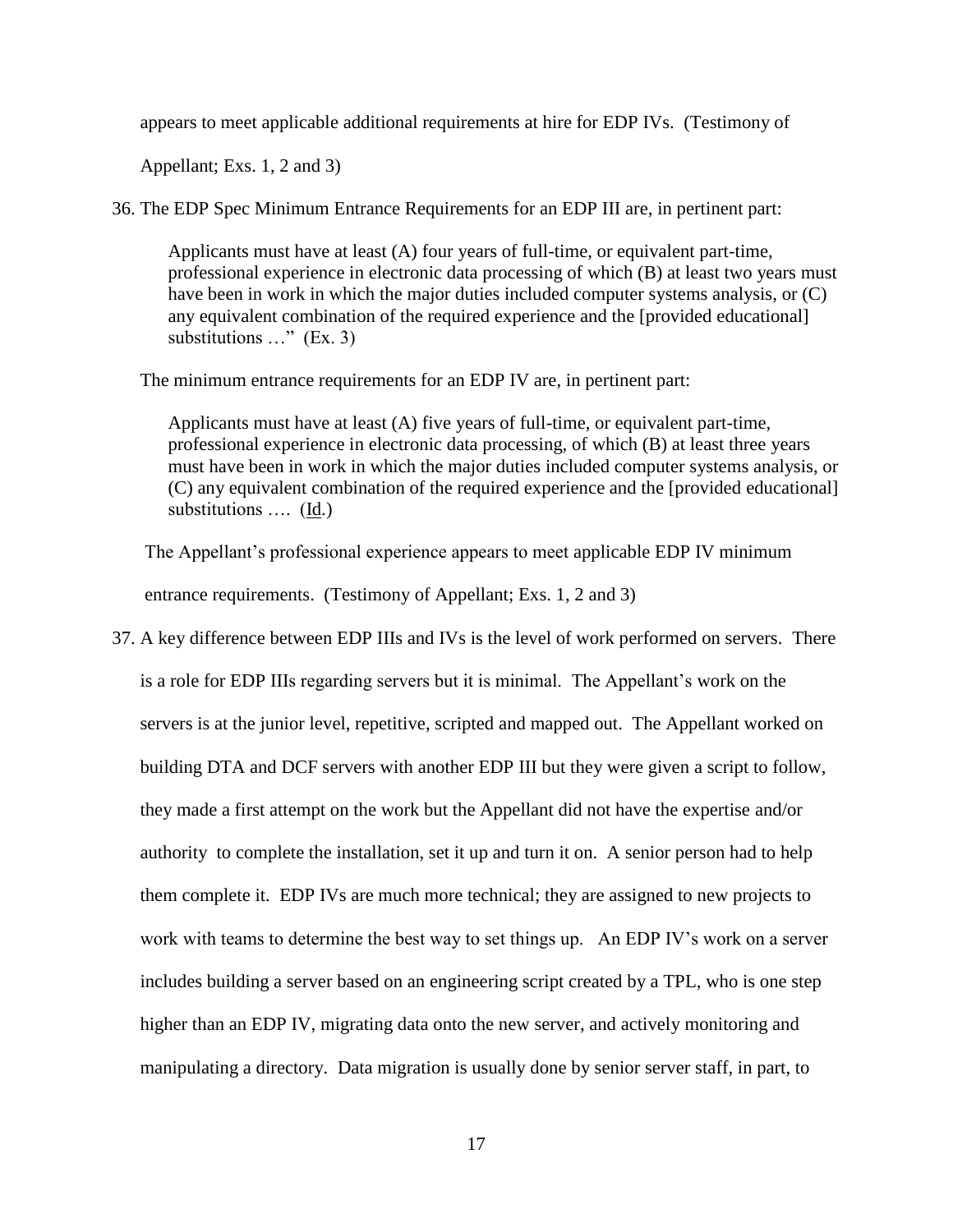appears to meet applicable additional requirements at hire for EDP IVs. (Testimony of

Appellant; Exs. 1, 2 and 3)

36. The EDP Spec Minimum Entrance Requirements for an EDP III are, in pertinent part:

Applicants must have at least (A) four years of full-time, or equivalent part-time, professional experience in electronic data processing of which (B) at least two years must have been in work in which the major duties included computer systems analysis, or (C) any equivalent combination of the required experience and the [provided educational] substitutions …" (Ex. 3)

The minimum entrance requirements for an EDP IV are, in pertinent part:

Applicants must have at least (A) five years of full-time, or equivalent part-time, professional experience in electronic data processing, of which (B) at least three years must have been in work in which the major duties included computer systems analysis, or (C) any equivalent combination of the required experience and the [provided educational] substitutions …. (Id.)

 The Appellant's professional experience appears to meet applicable EDP IV minimum entrance requirements. (Testimony of Appellant; Exs. 1, 2 and 3)

37. A key difference between EDP IIIs and IVs is the level of work performed on servers. There is a role for EDP IIIs regarding servers but it is minimal. The Appellant's work on the servers is at the junior level, repetitive, scripted and mapped out. The Appellant worked on building DTA and DCF servers with another EDP III but they were given a script to follow, they made a first attempt on the work but the Appellant did not have the expertise and/or authority to complete the installation, set it up and turn it on. A senior person had to help them complete it. EDP IVs are much more technical; they are assigned to new projects to work with teams to determine the best way to set things up. An EDP IV's work on a server includes building a server based on an engineering script created by a TPL, who is one step higher than an EDP IV, migrating data onto the new server, and actively monitoring and manipulating a directory. Data migration is usually done by senior server staff, in part, to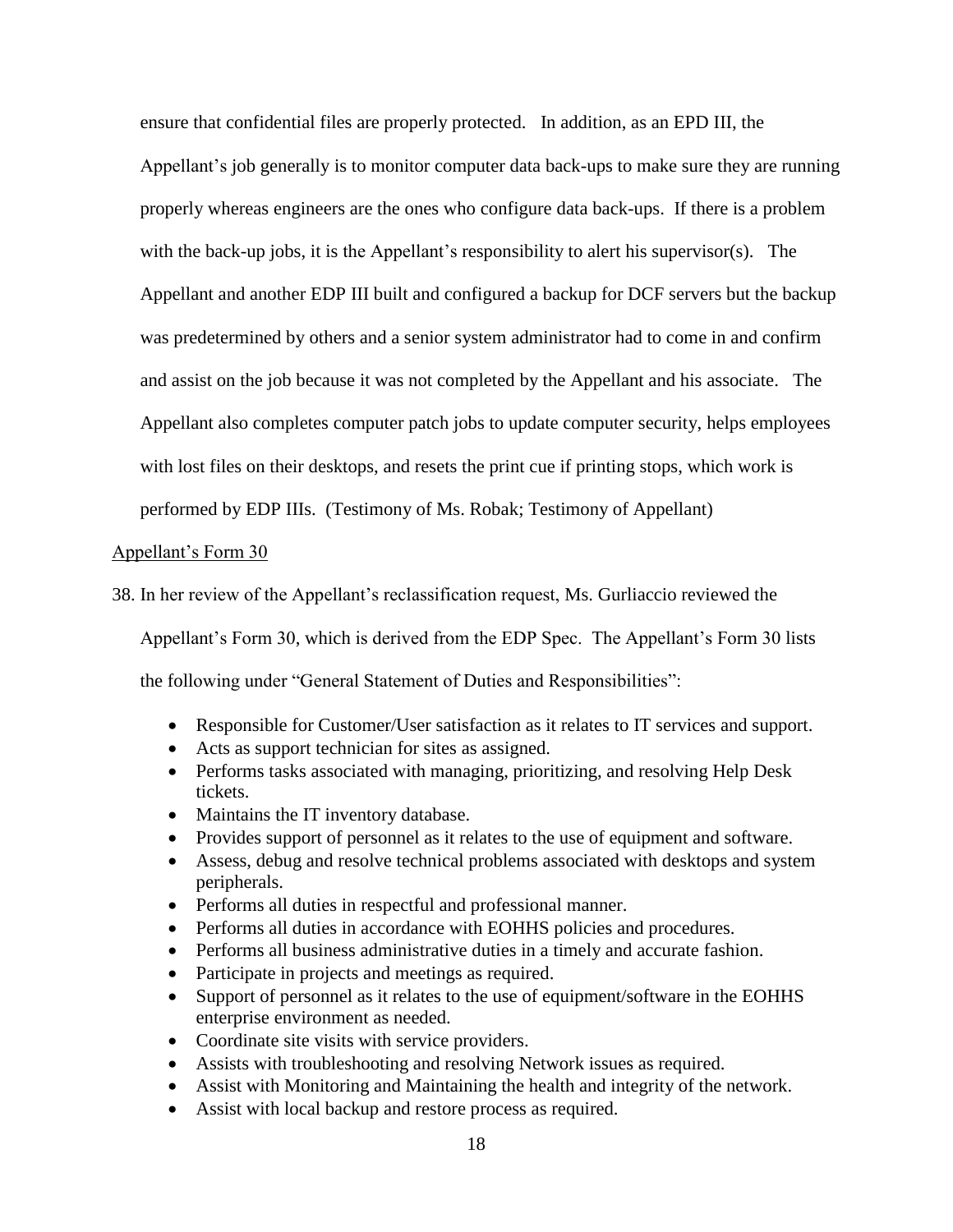ensure that confidential files are properly protected. In addition, as an EPD III, the Appellant's job generally is to monitor computer data back-ups to make sure they are running properly whereas engineers are the ones who configure data back-ups. If there is a problem with the back-up jobs, it is the Appellant's responsibility to alert his supervisor(s). The Appellant and another EDP III built and configured a backup for DCF servers but the backup was predetermined by others and a senior system administrator had to come in and confirm and assist on the job because it was not completed by the Appellant and his associate. The Appellant also completes computer patch jobs to update computer security, helps employees with lost files on their desktops, and resets the print cue if printing stops, which work is performed by EDP IIIs. (Testimony of Ms. Robak; Testimony of Appellant)

#### Appellant's Form 30

38. In her review of the Appellant's reclassification request, Ms. Gurliaccio reviewed the

Appellant's Form 30, which is derived from the EDP Spec. The Appellant's Form 30 lists the following under "General Statement of Duties and Responsibilities":

- Responsible for Customer/User satisfaction as it relates to IT services and support.
- Acts as support technician for sites as assigned.
- Performs tasks associated with managing, prioritizing, and resolving Help Desk tickets.
- Maintains the IT inventory database.
- Provides support of personnel as it relates to the use of equipment and software.
- Assess, debug and resolve technical problems associated with desktops and system peripherals.
- Performs all duties in respectful and professional manner.
- Performs all duties in accordance with EOHHS policies and procedures.
- Performs all business administrative duties in a timely and accurate fashion.
- Participate in projects and meetings as required.
- Support of personnel as it relates to the use of equipment/software in the EOHHS enterprise environment as needed.
- Coordinate site visits with service providers.
- Assists with troubleshooting and resolving Network issues as required.
- Assist with Monitoring and Maintaining the health and integrity of the network.
- Assist with local backup and restore process as required.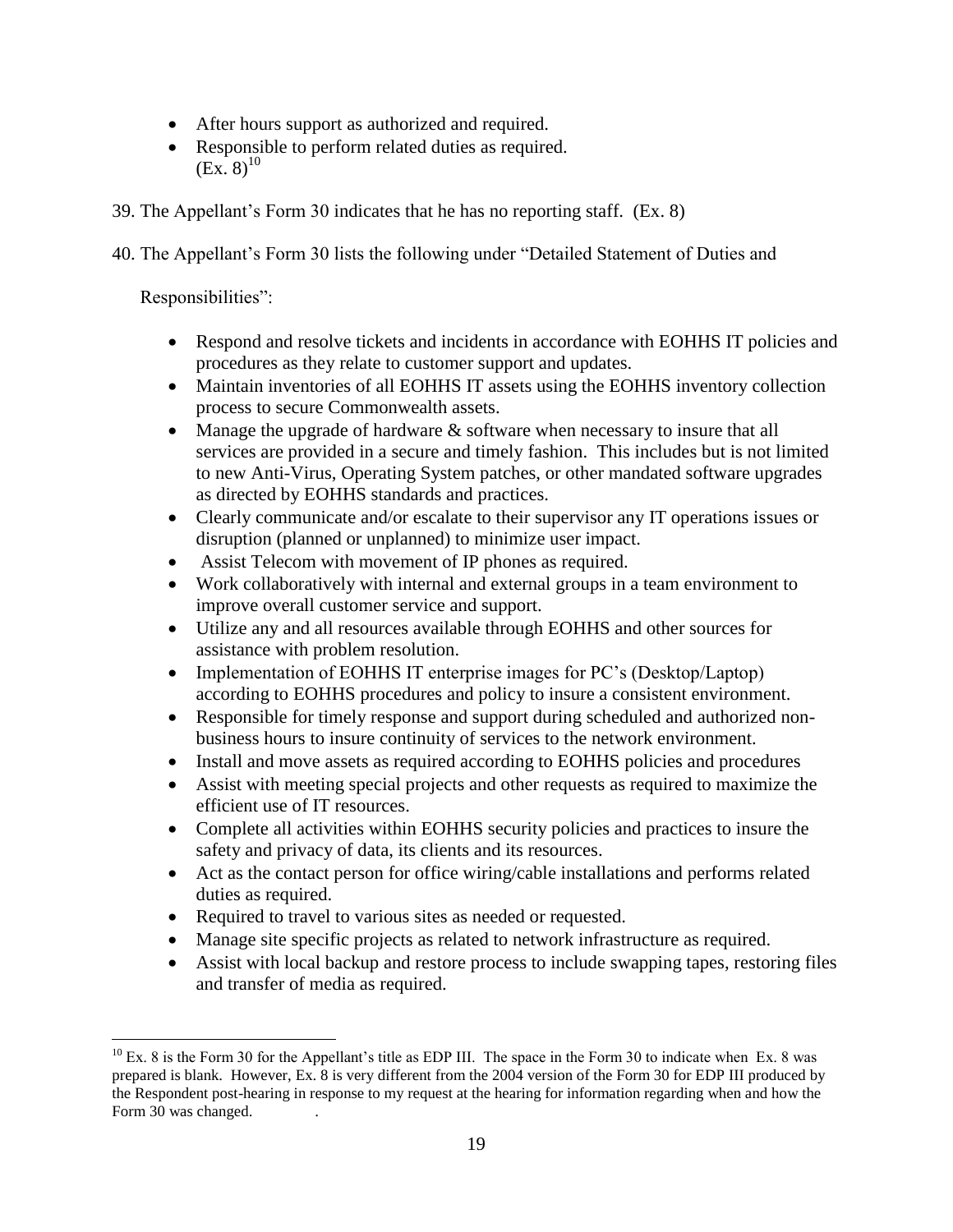- After hours support as authorized and required.
- Responsible to perform related duties as required.  $(EX, 8)^{10}$
- 39. The Appellant's Form 30 indicates that he has no reporting staff. (Ex. 8)
- 40. The Appellant's Form 30 lists the following under "Detailed Statement of Duties and

Responsibilities":

- Respond and resolve tickets and incidents in accordance with EOHHS IT policies and procedures as they relate to customer support and updates.
- Maintain inventories of all EOHHS IT assets using the EOHHS inventory collection process to secure Commonwealth assets.
- Manage the upgrade of hardware & software when necessary to insure that all services are provided in a secure and timely fashion. This includes but is not limited to new Anti-Virus, Operating System patches, or other mandated software upgrades as directed by EOHHS standards and practices.
- Clearly communicate and/or escalate to their supervisor any IT operations issues or disruption (planned or unplanned) to minimize user impact.
- Assist Telecom with movement of IP phones as required.
- Work collaboratively with internal and external groups in a team environment to improve overall customer service and support.
- Utilize any and all resources available through EOHHS and other sources for assistance with problem resolution.
- Implementation of EOHHS IT enterprise images for PC's (Desktop/Laptop) according to EOHHS procedures and policy to insure a consistent environment.
- Responsible for timely response and support during scheduled and authorized nonbusiness hours to insure continuity of services to the network environment.
- Install and move assets as required according to EOHHS policies and procedures
- Assist with meeting special projects and other requests as required to maximize the efficient use of IT resources.
- Complete all activities within EOHHS security policies and practices to insure the safety and privacy of data, its clients and its resources.
- Act as the contact person for office wiring/cable installations and performs related duties as required.
- Required to travel to various sites as needed or requested.
- Manage site specific projects as related to network infrastructure as required.
- Assist with local backup and restore process to include swapping tapes, restoring files and transfer of media as required.

 $\overline{a}$  $10$  Ex. 8 is the Form 30 for the Appellant's title as EDP III. The space in the Form 30 to indicate when Ex. 8 was prepared is blank. However, Ex. 8 is very different from the 2004 version of the Form 30 for EDP III produced by the Respondent post-hearing in response to my request at the hearing for information regarding when and how the Form 30 was changed.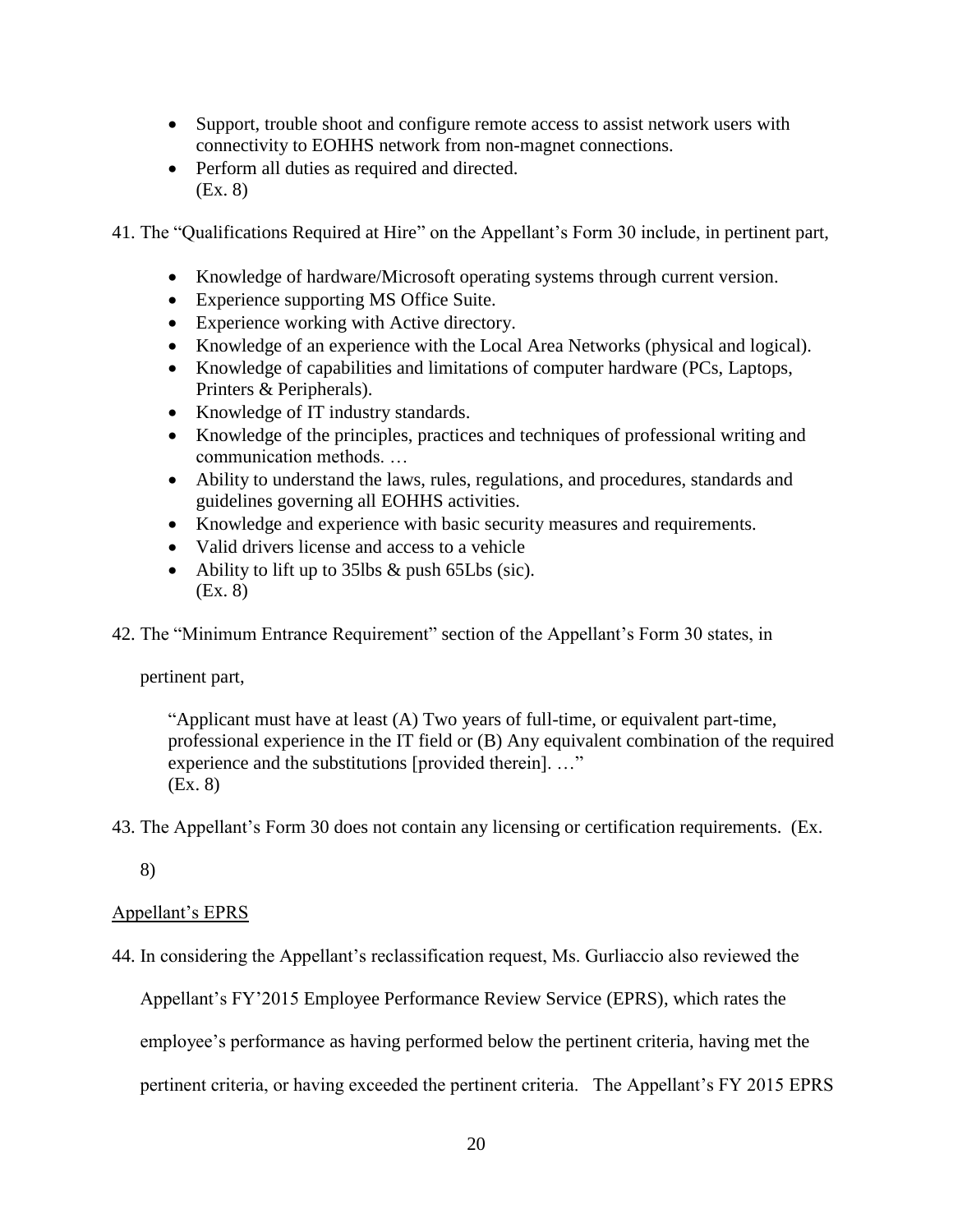- Support, trouble shoot and configure remote access to assist network users with connectivity to EOHHS network from non-magnet connections.
- Perform all duties as required and directed. (Ex. 8)

41. The "Qualifications Required at Hire" on the Appellant's Form 30 include, in pertinent part,

- Knowledge of hardware/Microsoft operating systems through current version.
- Experience supporting MS Office Suite.
- Experience working with Active directory.
- Knowledge of an experience with the Local Area Networks (physical and logical).
- Knowledge of capabilities and limitations of computer hardware (PCs, Laptops, Printers & Peripherals).
- Knowledge of IT industry standards.
- Knowledge of the principles, practices and techniques of professional writing and communication methods. …
- Ability to understand the laws, rules, regulations, and procedures, standards and guidelines governing all EOHHS activities.
- Knowledge and experience with basic security measures and requirements.
- Valid drivers license and access to a vehicle
- Ability to lift up to 35lbs & push 65Lbs (sic). (Ex. 8)

42. The "Minimum Entrance Requirement" section of the Appellant's Form 30 states, in

pertinent part,

"Applicant must have at least (A) Two years of full-time, or equivalent part-time, professional experience in the IT field or (B) Any equivalent combination of the required experience and the substitutions [provided therein]. …" (Ex. 8)

43. The Appellant's Form 30 does not contain any licensing or certification requirements. (Ex.

8)

# Appellant's EPRS

44. In considering the Appellant's reclassification request, Ms. Gurliaccio also reviewed the

Appellant's FY'2015 Employee Performance Review Service (EPRS), which rates the

employee's performance as having performed below the pertinent criteria, having met the

pertinent criteria, or having exceeded the pertinent criteria. The Appellant's FY 2015 EPRS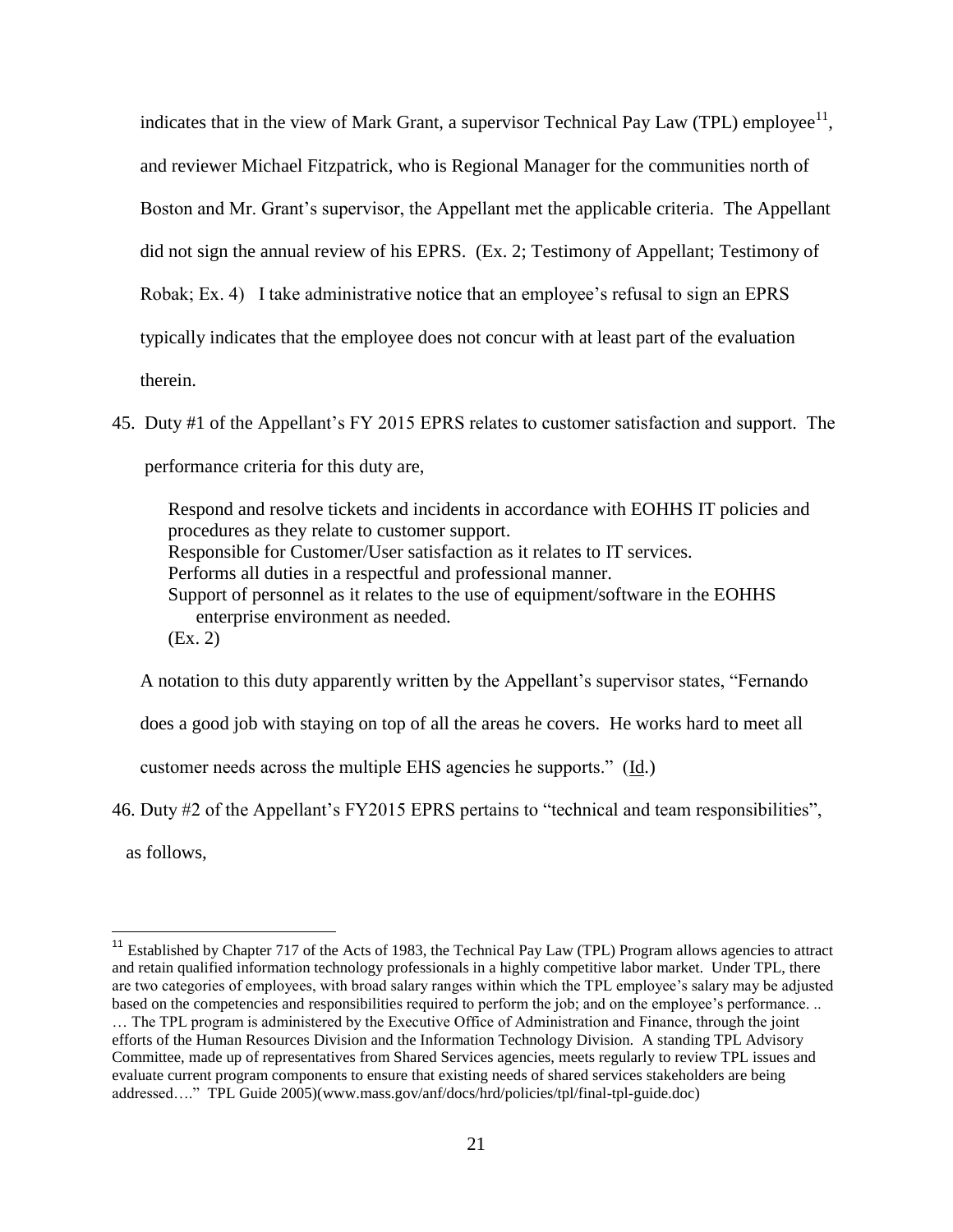indicates that in the view of Mark Grant, a supervisor Technical Pay Law (TPL) employee<sup>11</sup>, and reviewer Michael Fitzpatrick, who is Regional Manager for the communities north of Boston and Mr. Grant's supervisor, the Appellant met the applicable criteria. The Appellant did not sign the annual review of his EPRS. (Ex. 2; Testimony of Appellant; Testimony of Robak; Ex. 4) I take administrative notice that an employee's refusal to sign an EPRS typically indicates that the employee does not concur with at least part of the evaluation therein.

45. Duty #1 of the Appellant's FY 2015 EPRS relates to customer satisfaction and support. The performance criteria for this duty are,

Respond and resolve tickets and incidents in accordance with EOHHS IT policies and procedures as they relate to customer support. Responsible for Customer/User satisfaction as it relates to IT services. Performs all duties in a respectful and professional manner. Support of personnel as it relates to the use of equipment/software in the EOHHS enterprise environment as needed. (Ex. 2)

A notation to this duty apparently written by the Appellant's supervisor states, "Fernando does a good job with staying on top of all the areas he covers. He works hard to meet all customer needs across the multiple EHS agencies he supports." (Id.)

46. Duty #2 of the Appellant's FY2015 EPRS pertains to "technical and team responsibilities",

as follows,

 $\overline{a}$ <sup>11</sup> Established by Chapter 717 of the Acts of 1983, the Technical Pay Law (TPL) Program allows agencies to attract and retain qualified information technology professionals in a highly competitive labor market. Under TPL, there are two categories of employees, with broad salary ranges within which the TPL employee's salary may be adjusted based on the competencies and responsibilities required to perform the job; and on the employee's performance. ..

<sup>…</sup> The TPL program is administered by the Executive Office of Administration and Finance, through the joint efforts of the Human Resources Division and the Information Technology Division. A standing TPL Advisory Committee, made up of representatives from Shared Services agencies, meets regularly to review TPL issues and evaluate current program components to ensure that existing needs of shared services stakeholders are being addressed…." TPL Guide 2005)(www.mass.gov/anf/docs/hrd/policies/tpl/final-tpl-guide.doc)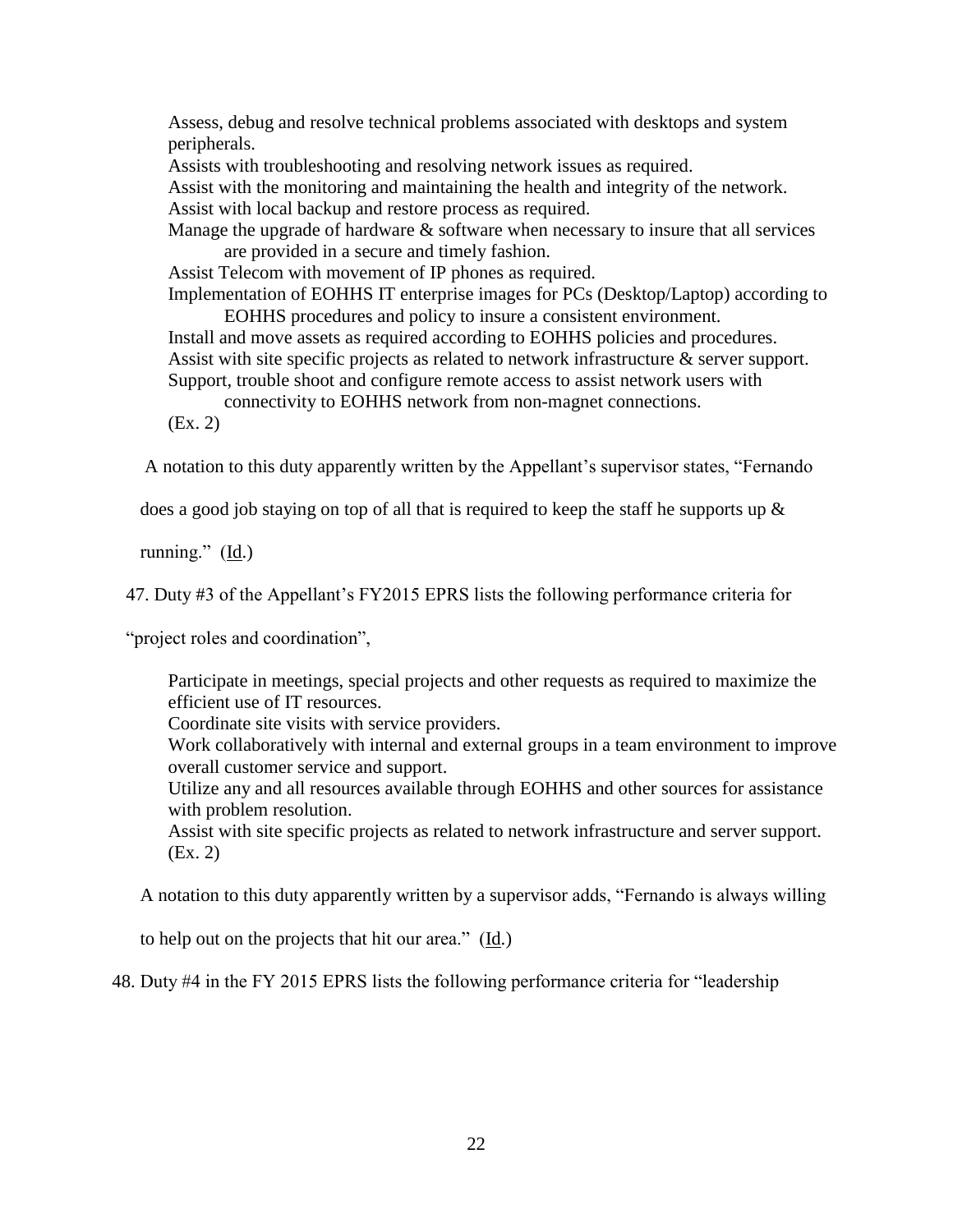Assess, debug and resolve technical problems associated with desktops and system peripherals.

Assists with troubleshooting and resolving network issues as required.

Assist with the monitoring and maintaining the health and integrity of the network. Assist with local backup and restore process as required.

Manage the upgrade of hardware  $\&$  software when necessary to insure that all services are provided in a secure and timely fashion.

Assist Telecom with movement of IP phones as required.

Implementation of EOHHS IT enterprise images for PCs (Desktop/Laptop) according to EOHHS procedures and policy to insure a consistent environment.

Install and move assets as required according to EOHHS policies and procedures. Assist with site specific projects as related to network infrastructure  $\&$  server support. Support, trouble shoot and configure remote access to assist network users with

connectivity to EOHHS network from non-magnet connections.

(Ex. 2)

A notation to this duty apparently written by the Appellant's supervisor states, "Fernando

does a good job staying on top of all that is required to keep the staff he supports up &

running." (Id.)

47. Duty #3 of the Appellant's FY2015 EPRS lists the following performance criteria for

"project roles and coordination",

Participate in meetings, special projects and other requests as required to maximize the efficient use of IT resources.

Coordinate site visits with service providers.

Work collaboratively with internal and external groups in a team environment to improve overall customer service and support.

Utilize any and all resources available through EOHHS and other sources for assistance with problem resolution.

Assist with site specific projects as related to network infrastructure and server support. (Ex. 2)

A notation to this duty apparently written by a supervisor adds, "Fernando is always willing

to help out on the projects that hit our area." (Id.)

48. Duty #4 in the FY 2015 EPRS lists the following performance criteria for "leadership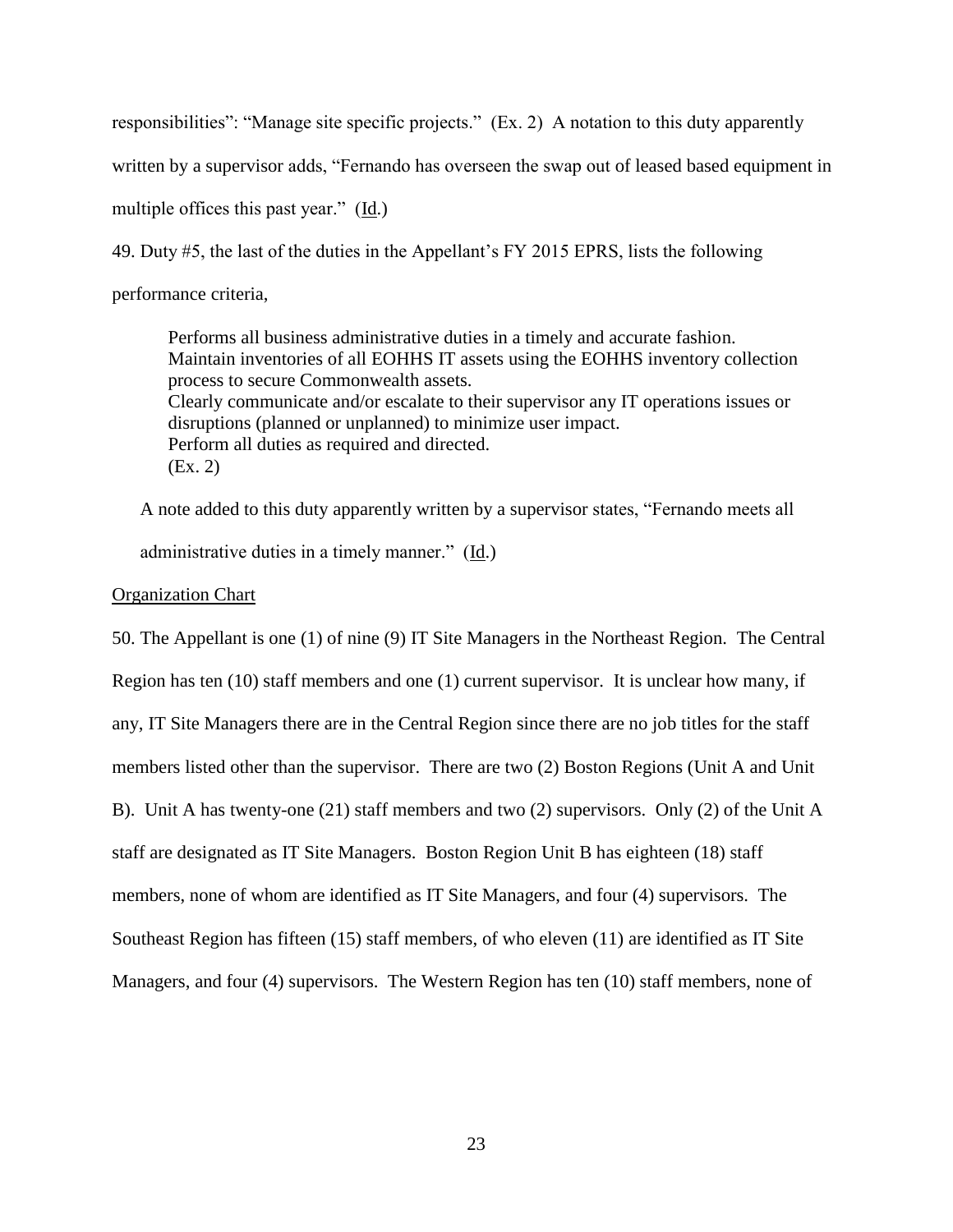responsibilities": "Manage site specific projects." (Ex. 2) A notation to this duty apparently

written by a supervisor adds, "Fernando has overseen the swap out of leased based equipment in

multiple offices this past year." (Id.)

49. Duty #5, the last of the duties in the Appellant's FY 2015 EPRS, lists the following

performance criteria,

Performs all business administrative duties in a timely and accurate fashion. Maintain inventories of all EOHHS IT assets using the EOHHS inventory collection process to secure Commonwealth assets. Clearly communicate and/or escalate to their supervisor any IT operations issues or disruptions (planned or unplanned) to minimize user impact. Perform all duties as required and directed. (Ex. 2)

A note added to this duty apparently written by a supervisor states, "Fernando meets all administrative duties in a timely manner." (Id.)

## Organization Chart

50. The Appellant is one (1) of nine (9) IT Site Managers in the Northeast Region. The Central Region has ten (10) staff members and one (1) current supervisor. It is unclear how many, if any, IT Site Managers there are in the Central Region since there are no job titles for the staff members listed other than the supervisor. There are two (2) Boston Regions (Unit A and Unit B). Unit A has twenty-one (21) staff members and two (2) supervisors. Only (2) of the Unit A staff are designated as IT Site Managers. Boston Region Unit B has eighteen (18) staff members, none of whom are identified as IT Site Managers, and four (4) supervisors. The Southeast Region has fifteen (15) staff members, of who eleven (11) are identified as IT Site Managers, and four (4) supervisors. The Western Region has ten (10) staff members, none of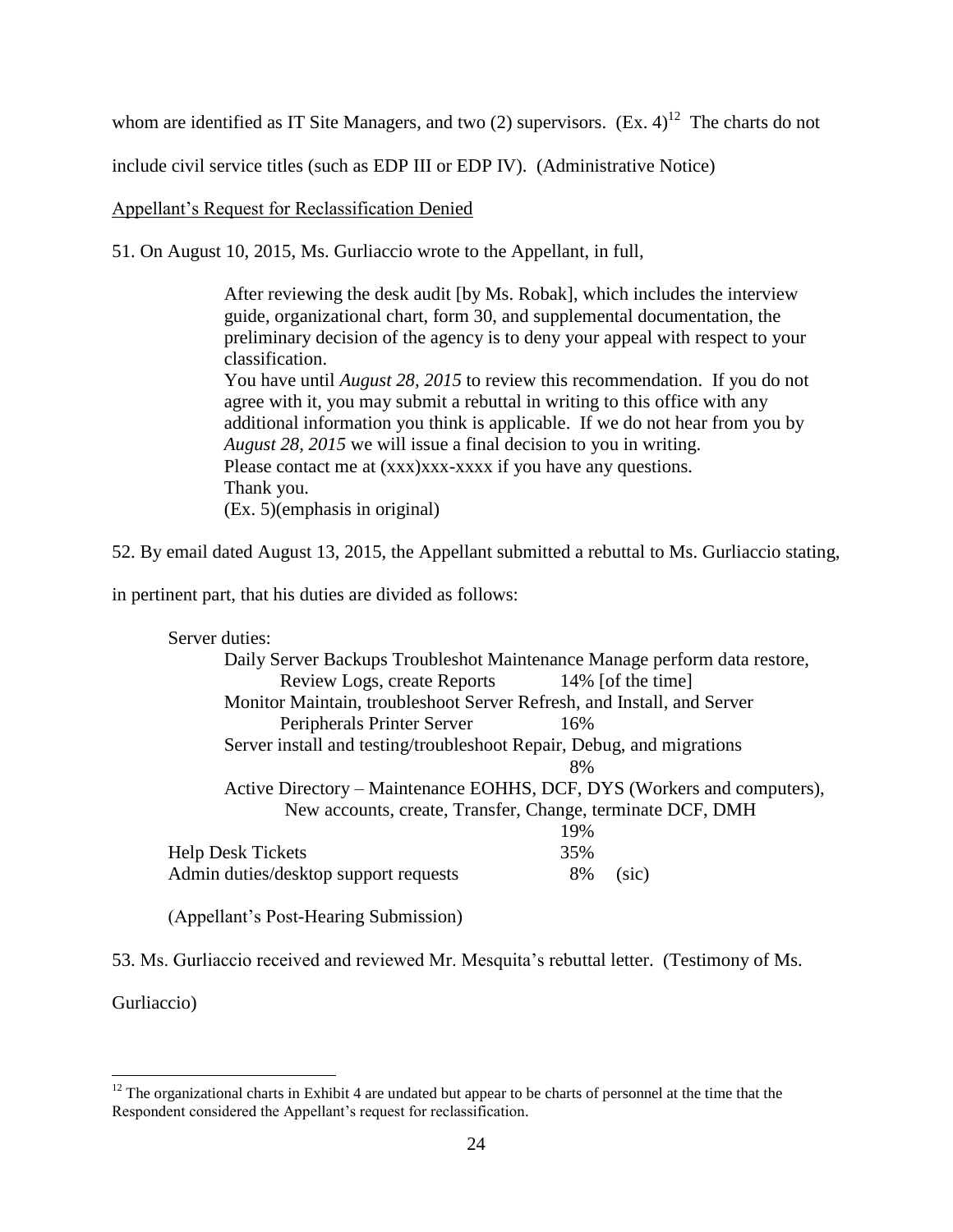whom are identified as IT Site Managers, and two  $(2)$  supervisors.  $(Ex. 4)^{12}$  The charts do not

include civil service titles (such as EDP III or EDP IV). (Administrative Notice)

Appellant's Request for Reclassification Denied

51. On August 10, 2015, Ms. Gurliaccio wrote to the Appellant, in full,

After reviewing the desk audit [by Ms. Robak], which includes the interview guide, organizational chart, form 30, and supplemental documentation, the preliminary decision of the agency is to deny your appeal with respect to your classification. You have until *August 28, 2015* to review this recommendation. If you do not agree with it, you may submit a rebuttal in writing to this office with any additional information you think is applicable. If we do not hear from you by *August 28, 2015* we will issue a final decision to you in writing. Please contact me at  $(xxx)xxx-xxxx$  if you have any questions. Thank you.

(Ex. 5)(emphasis in original)

52. By email dated August 13, 2015, the Appellant submitted a rebuttal to Ms. Gurliaccio stating,

in pertinent part, that his duties are divided as follows:

Server duties:

|                                       | Daily Server Backups Troubleshot Maintenance Manage perform data restore, |  |
|---------------------------------------|---------------------------------------------------------------------------|--|
|                                       | Review Logs, create Reports 14% [of the time]                             |  |
|                                       | Monitor Maintain, troubleshoot Server Refresh, and Install, and Server    |  |
| Peripherals Printer Server            | 16%                                                                       |  |
|                                       | Server install and testing/troubleshoot Repair, Debug, and migrations     |  |
|                                       | 8%                                                                        |  |
|                                       | Active Directory - Maintenance EOHHS, DCF, DYS (Workers and computers),   |  |
|                                       | New accounts, create, Transfer, Change, terminate DCF, DMH                |  |
|                                       | 19%                                                                       |  |
| <b>Help Desk Tickets</b>              | 35%                                                                       |  |
| Admin duties/desktop support requests | 8%<br>(sic)                                                               |  |
|                                       |                                                                           |  |

(Appellant's Post-Hearing Submission)

53. Ms. Gurliaccio received and reviewed Mr. Mesquita's rebuttal letter. (Testimony of Ms.

Gurliaccio)

 $\overline{a}$ 

 $12$  The organizational charts in Exhibit 4 are undated but appear to be charts of personnel at the time that the Respondent considered the Appellant's request for reclassification.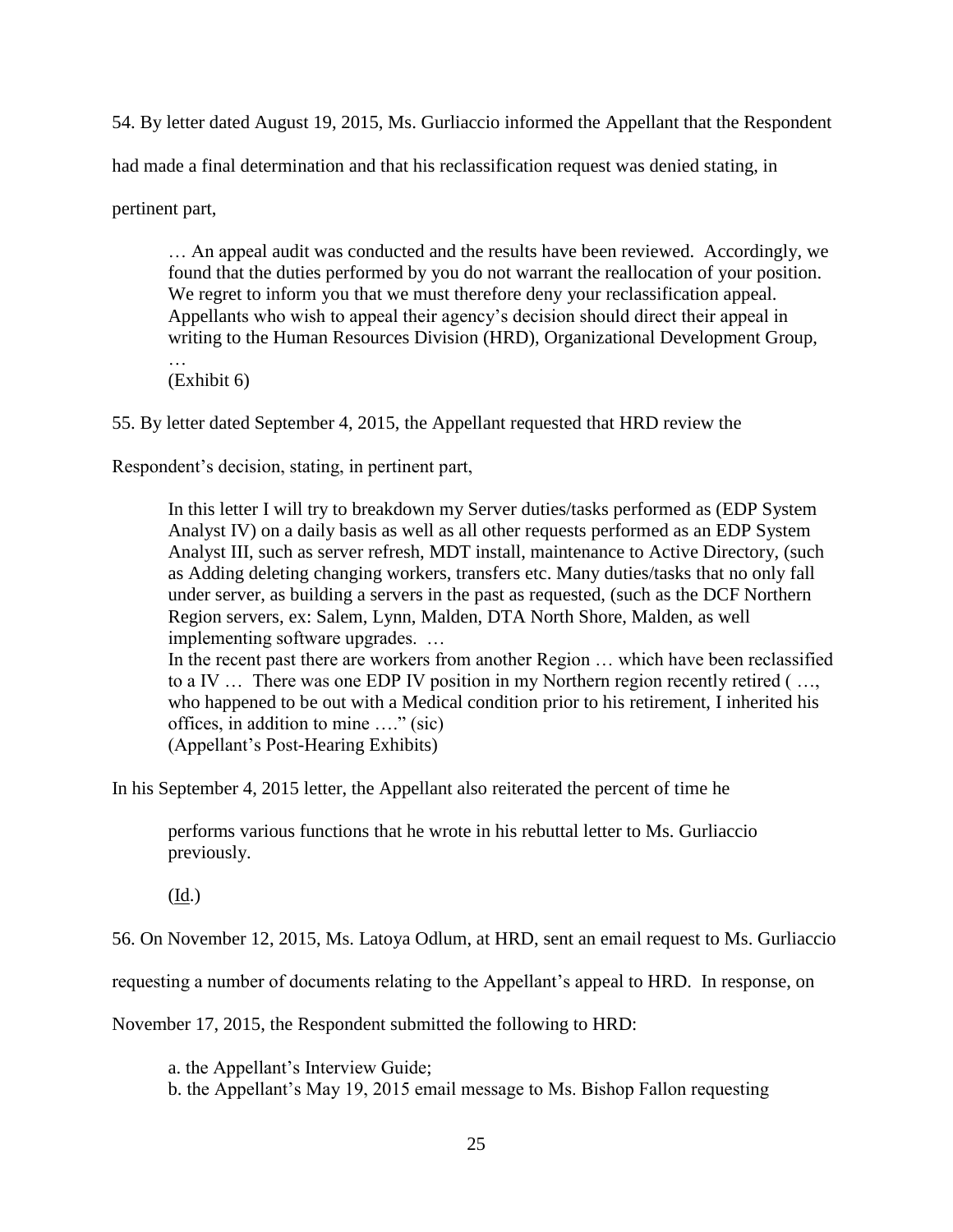54. By letter dated August 19, 2015, Ms. Gurliaccio informed the Appellant that the Respondent

had made a final determination and that his reclassification request was denied stating, in

pertinent part,

… An appeal audit was conducted and the results have been reviewed. Accordingly, we found that the duties performed by you do not warrant the reallocation of your position. We regret to inform you that we must therefore deny your reclassification appeal. Appellants who wish to appeal their agency's decision should direct their appeal in writing to the Human Resources Division (HRD), Organizational Development Group, …

(Exhibit 6)

55. By letter dated September 4, 2015, the Appellant requested that HRD review the

Respondent's decision, stating, in pertinent part,

In this letter I will try to breakdown my Server duties/tasks performed as (EDP System Analyst IV) on a daily basis as well as all other requests performed as an EDP System Analyst III, such as server refresh, MDT install, maintenance to Active Directory, (such as Adding deleting changing workers, transfers etc. Many duties/tasks that no only fall under server, as building a servers in the past as requested, (such as the DCF Northern Region servers, ex: Salem, Lynn, Malden, DTA North Shore, Malden, as well implementing software upgrades. …

In the recent past there are workers from another Region … which have been reclassified to a IV … There was one EDP IV position in my Northern region recently retired ( …, who happened to be out with a Medical condition prior to his retirement, I inherited his offices, in addition to mine …." (sic) (Appellant's Post-Hearing Exhibits)

In his September 4, 2015 letter, the Appellant also reiterated the percent of time he

performs various functions that he wrote in his rebuttal letter to Ms. Gurliaccio previously.

 $(\underline{Id.})$ 

56. On November 12, 2015, Ms. Latoya Odlum, at HRD, sent an email request to Ms. Gurliaccio

requesting a number of documents relating to the Appellant's appeal to HRD. In response, on

November 17, 2015, the Respondent submitted the following to HRD:

a. the Appellant's Interview Guide;

b. the Appellant's May 19, 2015 email message to Ms. Bishop Fallon requesting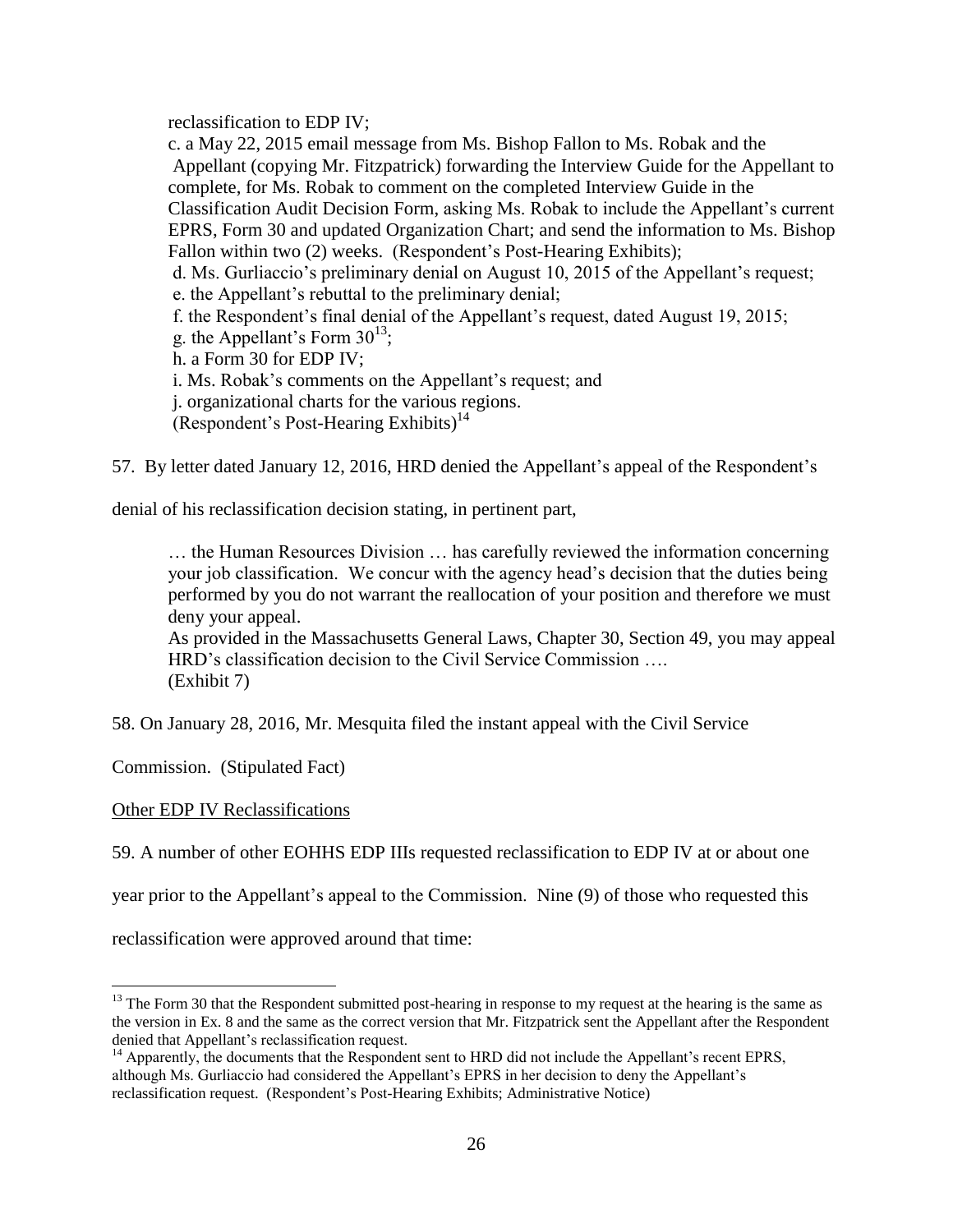reclassification to EDP IV;

c. a May 22, 2015 email message from Ms. Bishop Fallon to Ms. Robak and the Appellant (copying Mr. Fitzpatrick) forwarding the Interview Guide for the Appellant to complete, for Ms. Robak to comment on the completed Interview Guide in the Classification Audit Decision Form, asking Ms. Robak to include the Appellant's current EPRS, Form 30 and updated Organization Chart; and send the information to Ms. Bishop Fallon within two (2) weeks. (Respondent's Post-Hearing Exhibits); d. Ms. Gurliaccio's preliminary denial on August 10, 2015 of the Appellant's request; e. the Appellant's rebuttal to the preliminary denial; f. the Respondent's final denial of the Appellant's request, dated August 19, 2015; g. the Appellant's Form  $30^{13}$ ; h. a Form 30 for EDP IV; i. Ms. Robak's comments on the Appellant's request; and j. organizational charts for the various regions.

(Respondent's Post-Hearing Exhibits)<sup>14</sup>

57. By letter dated January 12, 2016, HRD denied the Appellant's appeal of the Respondent's

denial of his reclassification decision stating, in pertinent part,

… the Human Resources Division … has carefully reviewed the information concerning your job classification. We concur with the agency head's decision that the duties being performed by you do not warrant the reallocation of your position and therefore we must deny your appeal.

As provided in the Massachusetts General Laws, Chapter 30, Section 49, you may appeal HRD's classification decision to the Civil Service Commission …. (Exhibit 7)

58. On January 28, 2016, Mr. Mesquita filed the instant appeal with the Civil Service

Commission. (Stipulated Fact)

## Other EDP IV Reclassifications

 $\overline{a}$ 

59. A number of other EOHHS EDP IIIs requested reclassification to EDP IV at or about one

year prior to the Appellant's appeal to the Commission. Nine (9) of those who requested this

reclassification were approved around that time:

 $13$  The Form 30 that the Respondent submitted post-hearing in response to my request at the hearing is the same as the version in Ex. 8 and the same as the correct version that Mr. Fitzpatrick sent the Appellant after the Respondent denied that Appellant's reclassification request.

<sup>&</sup>lt;sup>14</sup> Apparently, the documents that the Respondent sent to HRD did not include the Appellant's recent EPRS, although Ms. Gurliaccio had considered the Appellant's EPRS in her decision to deny the Appellant's reclassification request. (Respondent's Post-Hearing Exhibits; Administrative Notice)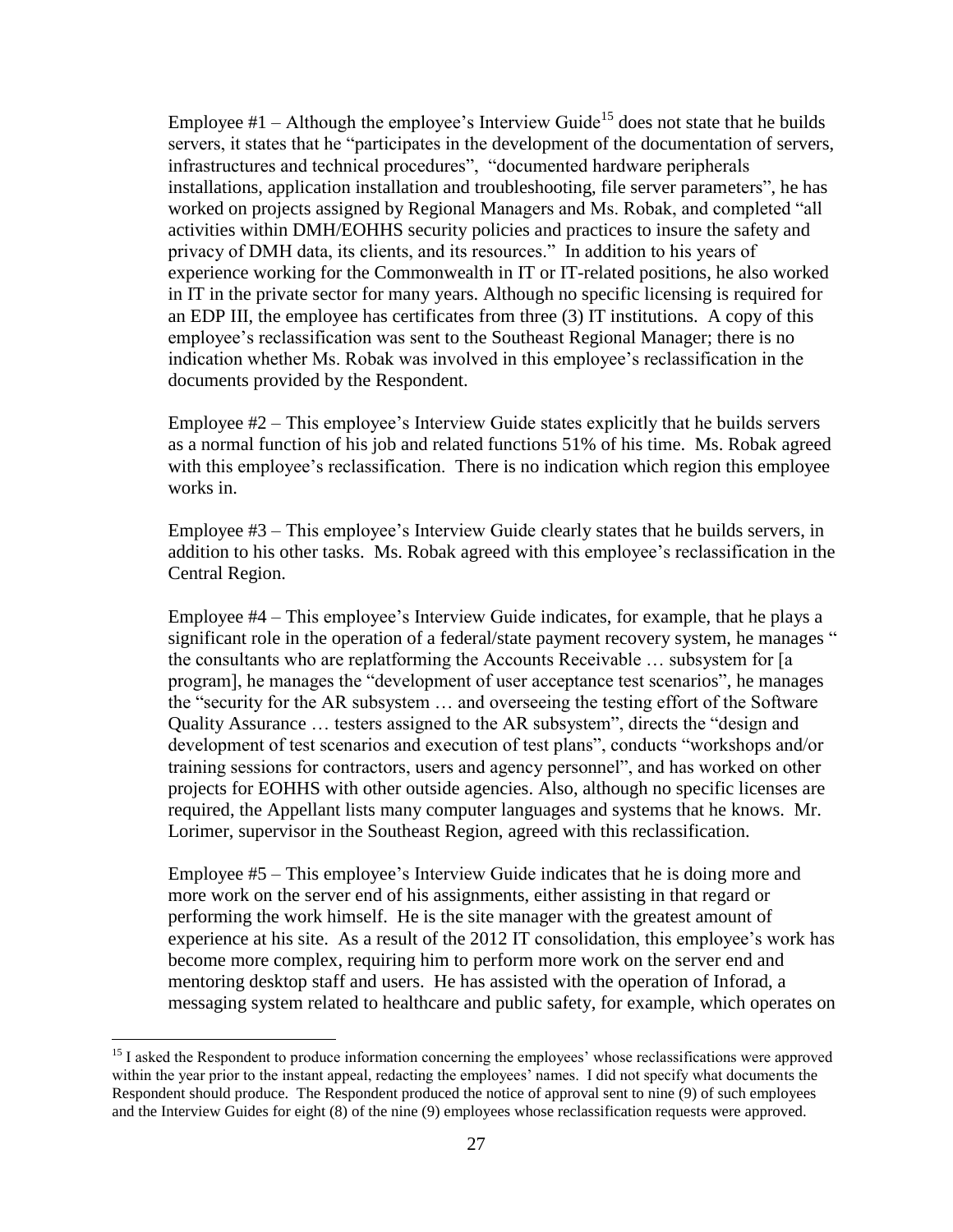Employee  $#1$  – Although the employee's Interview Guide<sup>15</sup> does not state that he builds servers, it states that he "participates in the development of the documentation of servers, infrastructures and technical procedures", "documented hardware peripherals installations, application installation and troubleshooting, file server parameters", he has worked on projects assigned by Regional Managers and Ms. Robak, and completed "all activities within DMH/EOHHS security policies and practices to insure the safety and privacy of DMH data, its clients, and its resources." In addition to his years of experience working for the Commonwealth in IT or IT-related positions, he also worked in IT in the private sector for many years. Although no specific licensing is required for an EDP III, the employee has certificates from three (3) IT institutions. A copy of this employee's reclassification was sent to the Southeast Regional Manager; there is no indication whether Ms. Robak was involved in this employee's reclassification in the documents provided by the Respondent.

Employee #2 – This employee's Interview Guide states explicitly that he builds servers as a normal function of his job and related functions 51% of his time. Ms. Robak agreed with this employee's reclassification. There is no indication which region this employee works in.

Employee #3 – This employee's Interview Guide clearly states that he builds servers, in addition to his other tasks. Ms. Robak agreed with this employee's reclassification in the Central Region.

Employee #4 – This employee's Interview Guide indicates, for example, that he plays a significant role in the operation of a federal/state payment recovery system, he manages " the consultants who are replatforming the Accounts Receivable … subsystem for [a program], he manages the "development of user acceptance test scenarios", he manages the "security for the AR subsystem … and overseeing the testing effort of the Software Quality Assurance … testers assigned to the AR subsystem", directs the "design and development of test scenarios and execution of test plans", conducts "workshops and/or training sessions for contractors, users and agency personnel", and has worked on other projects for EOHHS with other outside agencies. Also, although no specific licenses are required, the Appellant lists many computer languages and systems that he knows. Mr. Lorimer, supervisor in the Southeast Region, agreed with this reclassification.

Employee #5 – This employee's Interview Guide indicates that he is doing more and more work on the server end of his assignments, either assisting in that regard or performing the work himself. He is the site manager with the greatest amount of experience at his site. As a result of the 2012 IT consolidation, this employee's work has become more complex, requiring him to perform more work on the server end and mentoring desktop staff and users. He has assisted with the operation of Inforad, a messaging system related to healthcare and public safety, for example, which operates on

 $\overline{a}$ 

<sup>&</sup>lt;sup>15</sup> I asked the Respondent to produce information concerning the employees' whose reclassifications were approved within the year prior to the instant appeal, redacting the employees' names. I did not specify what documents the Respondent should produce. The Respondent produced the notice of approval sent to nine (9) of such employees and the Interview Guides for eight (8) of the nine (9) employees whose reclassification requests were approved.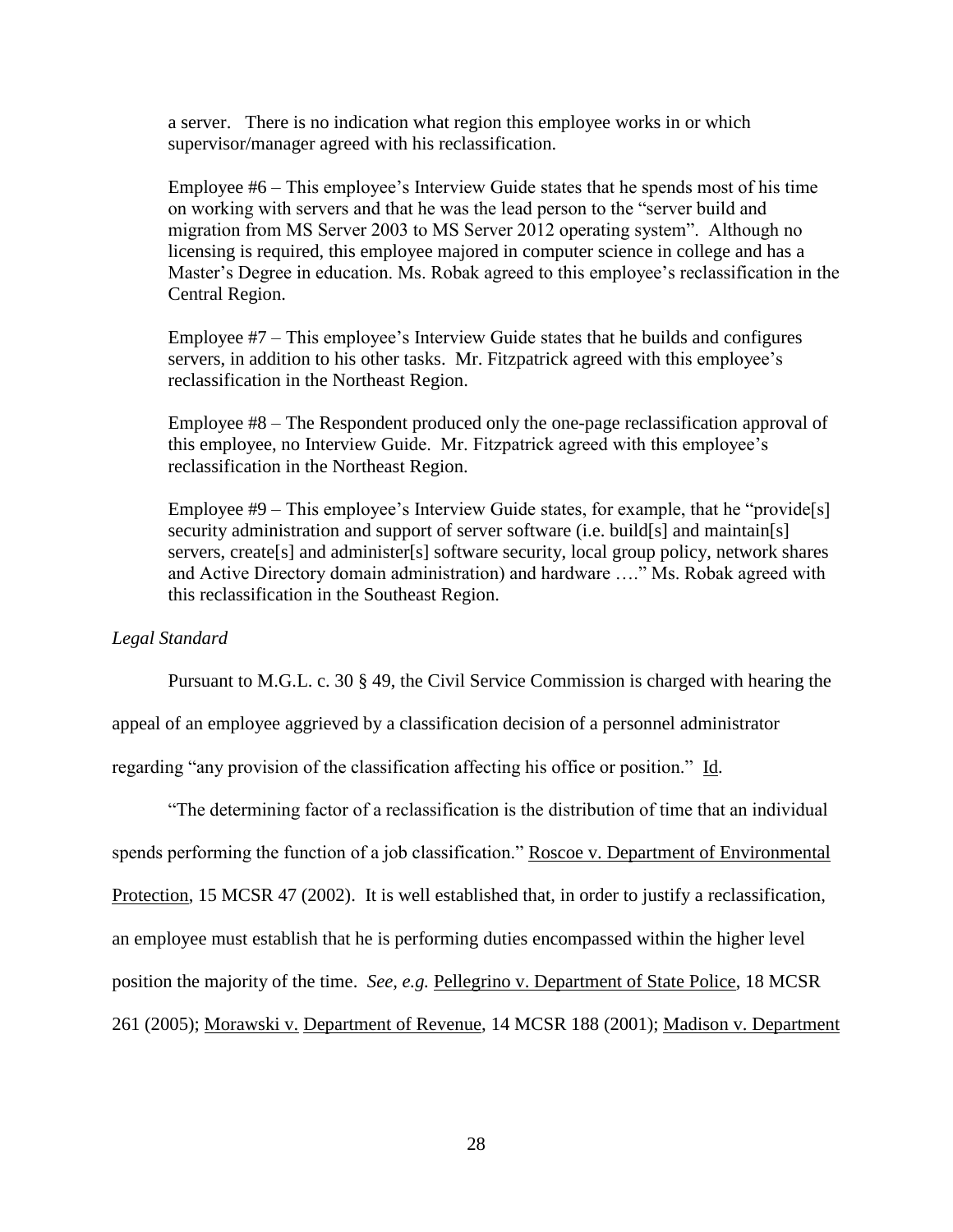a server. There is no indication what region this employee works in or which supervisor/manager agreed with his reclassification.

Employee #6 – This employee's Interview Guide states that he spends most of his time on working with servers and that he was the lead person to the "server build and migration from MS Server 2003 to MS Server 2012 operating system". Although no licensing is required, this employee majored in computer science in college and has a Master's Degree in education. Ms. Robak agreed to this employee's reclassification in the Central Region.

Employee #7 – This employee's Interview Guide states that he builds and configures servers, in addition to his other tasks. Mr. Fitzpatrick agreed with this employee's reclassification in the Northeast Region.

Employee #8 – The Respondent produced only the one-page reclassification approval of this employee, no Interview Guide. Mr. Fitzpatrick agreed with this employee's reclassification in the Northeast Region.

Employee #9 – This employee's Interview Guide states, for example, that he "provide[s] security administration and support of server software (i.e. build[s] and maintain[s] servers, create<sup>[s]</sup> and administer<sup>[s]</sup> software security, local group policy, network shares and Active Directory domain administration) and hardware …." Ms. Robak agreed with this reclassification in the Southeast Region.

#### *Legal Standard*

Pursuant to M.G.L. c. 30 § 49, the Civil Service Commission is charged with hearing the

appeal of an employee aggrieved by a classification decision of a personnel administrator

regarding "any provision of the classification affecting his office or position." Id.

"The determining factor of a reclassification is the distribution of time that an individual spends performing the function of a job classification." Roscoe v. Department of Environmental Protection, 15 MCSR 47 (2002). It is well established that, in order to justify a reclassification, an employee must establish that he is performing duties encompassed within the higher level position the majority of the time. *See, e.g.* Pellegrino v. Department of State Police, 18 MCSR 261 (2005); Morawski v. Department of Revenue, 14 MCSR 188 (2001); Madison v. Department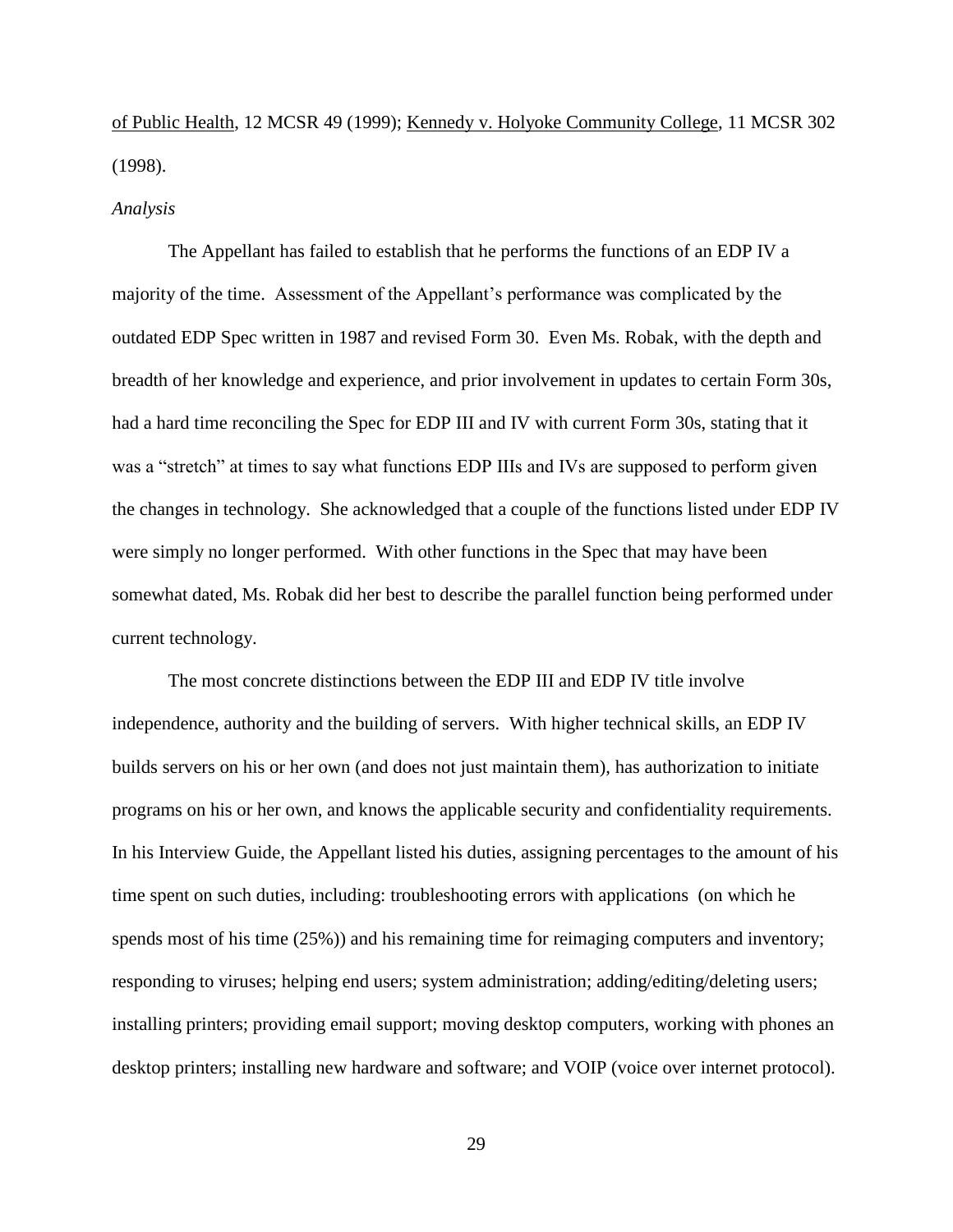of Public Health, 12 MCSR 49 (1999); Kennedy v. Holyoke Community College, 11 MCSR 302 (1998).

#### *Analysis*

The Appellant has failed to establish that he performs the functions of an EDP IV a majority of the time. Assessment of the Appellant's performance was complicated by the outdated EDP Spec written in 1987 and revised Form 30. Even Ms. Robak, with the depth and breadth of her knowledge and experience, and prior involvement in updates to certain Form 30s, had a hard time reconciling the Spec for EDP III and IV with current Form 30s, stating that it was a "stretch" at times to say what functions EDP IIIs and IVs are supposed to perform given the changes in technology. She acknowledged that a couple of the functions listed under EDP IV were simply no longer performed. With other functions in the Spec that may have been somewhat dated, Ms. Robak did her best to describe the parallel function being performed under current technology.

The most concrete distinctions between the EDP III and EDP IV title involve independence, authority and the building of servers. With higher technical skills, an EDP IV builds servers on his or her own (and does not just maintain them), has authorization to initiate programs on his or her own, and knows the applicable security and confidentiality requirements. In his Interview Guide, the Appellant listed his duties, assigning percentages to the amount of his time spent on such duties, including: troubleshooting errors with applications (on which he spends most of his time (25%)) and his remaining time for reimaging computers and inventory; responding to viruses; helping end users; system administration; adding/editing/deleting users; installing printers; providing email support; moving desktop computers, working with phones an desktop printers; installing new hardware and software; and VOIP (voice over internet protocol).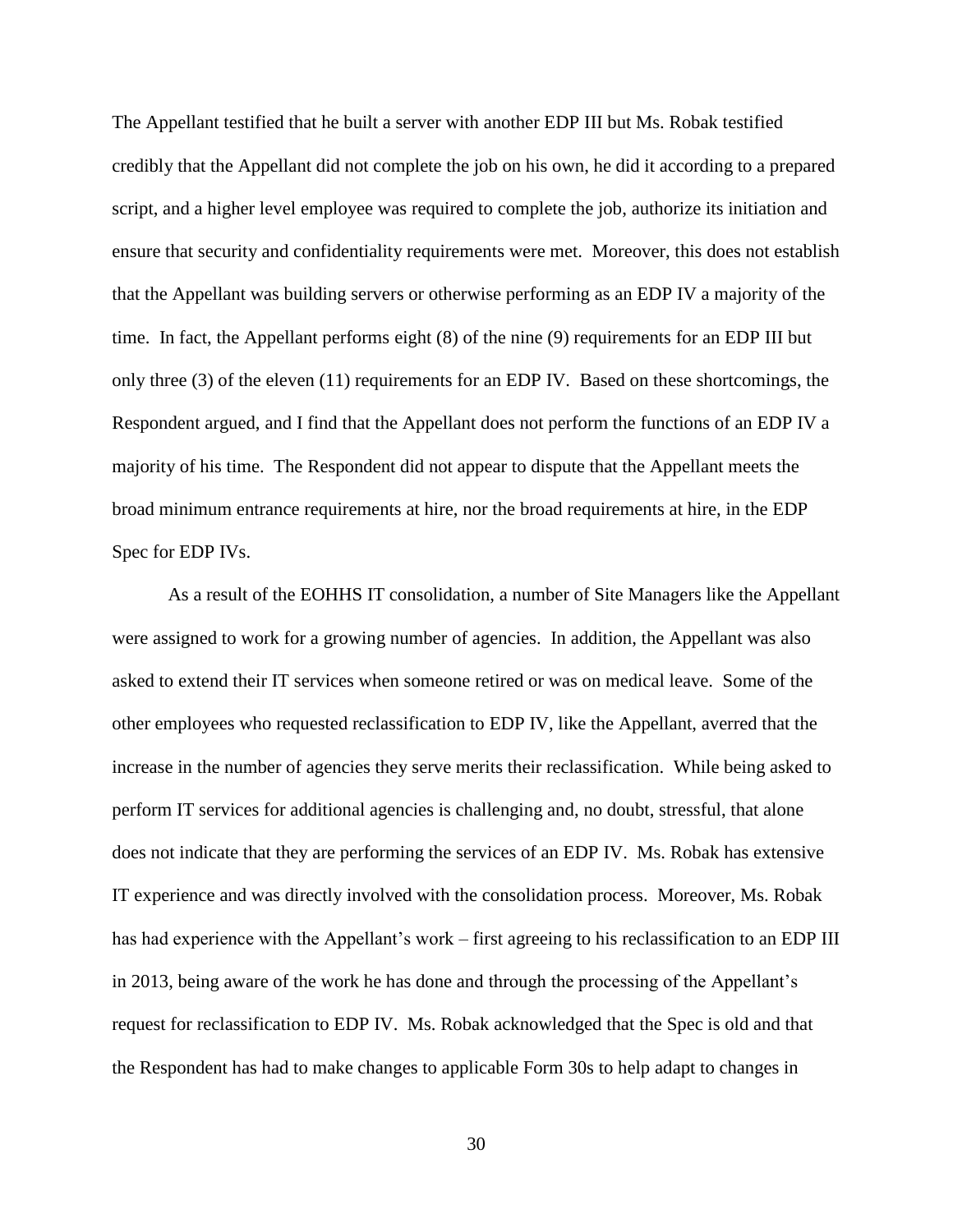The Appellant testified that he built a server with another EDP III but Ms. Robak testified credibly that the Appellant did not complete the job on his own, he did it according to a prepared script, and a higher level employee was required to complete the job, authorize its initiation and ensure that security and confidentiality requirements were met. Moreover, this does not establish that the Appellant was building servers or otherwise performing as an EDP IV a majority of the time. In fact, the Appellant performs eight (8) of the nine (9) requirements for an EDP III but only three (3) of the eleven (11) requirements for an EDP IV. Based on these shortcomings, the Respondent argued, and I find that the Appellant does not perform the functions of an EDP IV a majority of his time. The Respondent did not appear to dispute that the Appellant meets the broad minimum entrance requirements at hire, nor the broad requirements at hire, in the EDP Spec for EDP IVs.

As a result of the EOHHS IT consolidation, a number of Site Managers like the Appellant were assigned to work for a growing number of agencies. In addition, the Appellant was also asked to extend their IT services when someone retired or was on medical leave. Some of the other employees who requested reclassification to EDP IV, like the Appellant, averred that the increase in the number of agencies they serve merits their reclassification. While being asked to perform IT services for additional agencies is challenging and, no doubt, stressful, that alone does not indicate that they are performing the services of an EDP IV. Ms. Robak has extensive IT experience and was directly involved with the consolidation process. Moreover, Ms. Robak has had experience with the Appellant's work – first agreeing to his reclassification to an EDP III in 2013, being aware of the work he has done and through the processing of the Appellant's request for reclassification to EDP IV. Ms. Robak acknowledged that the Spec is old and that the Respondent has had to make changes to applicable Form 30s to help adapt to changes in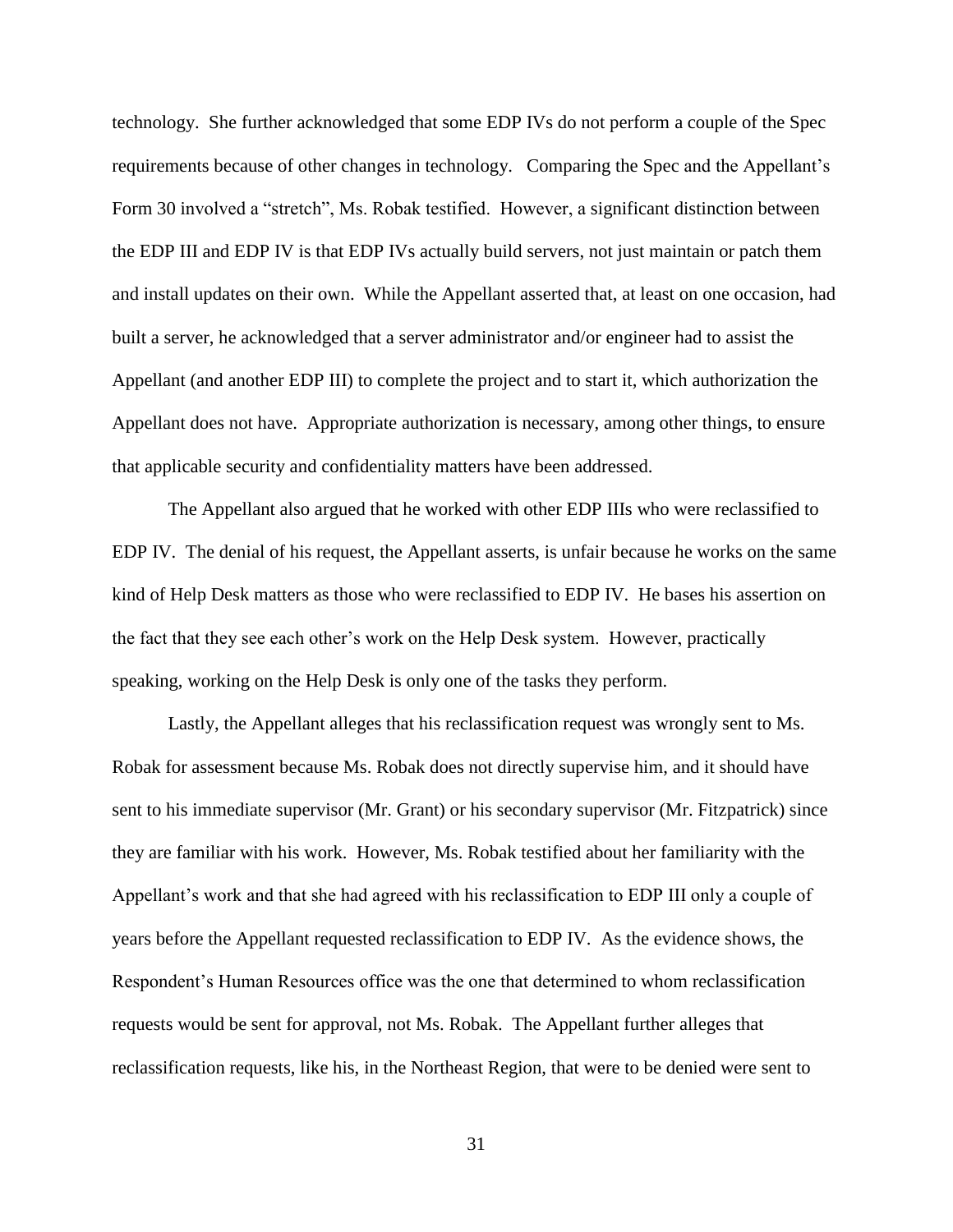technology. She further acknowledged that some EDP IVs do not perform a couple of the Spec requirements because of other changes in technology. Comparing the Spec and the Appellant's Form 30 involved a "stretch", Ms. Robak testified. However, a significant distinction between the EDP III and EDP IV is that EDP IVs actually build servers, not just maintain or patch them and install updates on their own. While the Appellant asserted that, at least on one occasion, had built a server, he acknowledged that a server administrator and/or engineer had to assist the Appellant (and another EDP III) to complete the project and to start it, which authorization the Appellant does not have. Appropriate authorization is necessary, among other things, to ensure that applicable security and confidentiality matters have been addressed.

The Appellant also argued that he worked with other EDP IIIs who were reclassified to EDP IV. The denial of his request, the Appellant asserts, is unfair because he works on the same kind of Help Desk matters as those who were reclassified to EDP IV. He bases his assertion on the fact that they see each other's work on the Help Desk system. However, practically speaking, working on the Help Desk is only one of the tasks they perform.

Lastly, the Appellant alleges that his reclassification request was wrongly sent to Ms. Robak for assessment because Ms. Robak does not directly supervise him, and it should have sent to his immediate supervisor (Mr. Grant) or his secondary supervisor (Mr. Fitzpatrick) since they are familiar with his work. However, Ms. Robak testified about her familiarity with the Appellant's work and that she had agreed with his reclassification to EDP III only a couple of years before the Appellant requested reclassification to EDP IV. As the evidence shows, the Respondent's Human Resources office was the one that determined to whom reclassification requests would be sent for approval, not Ms. Robak. The Appellant further alleges that reclassification requests, like his, in the Northeast Region, that were to be denied were sent to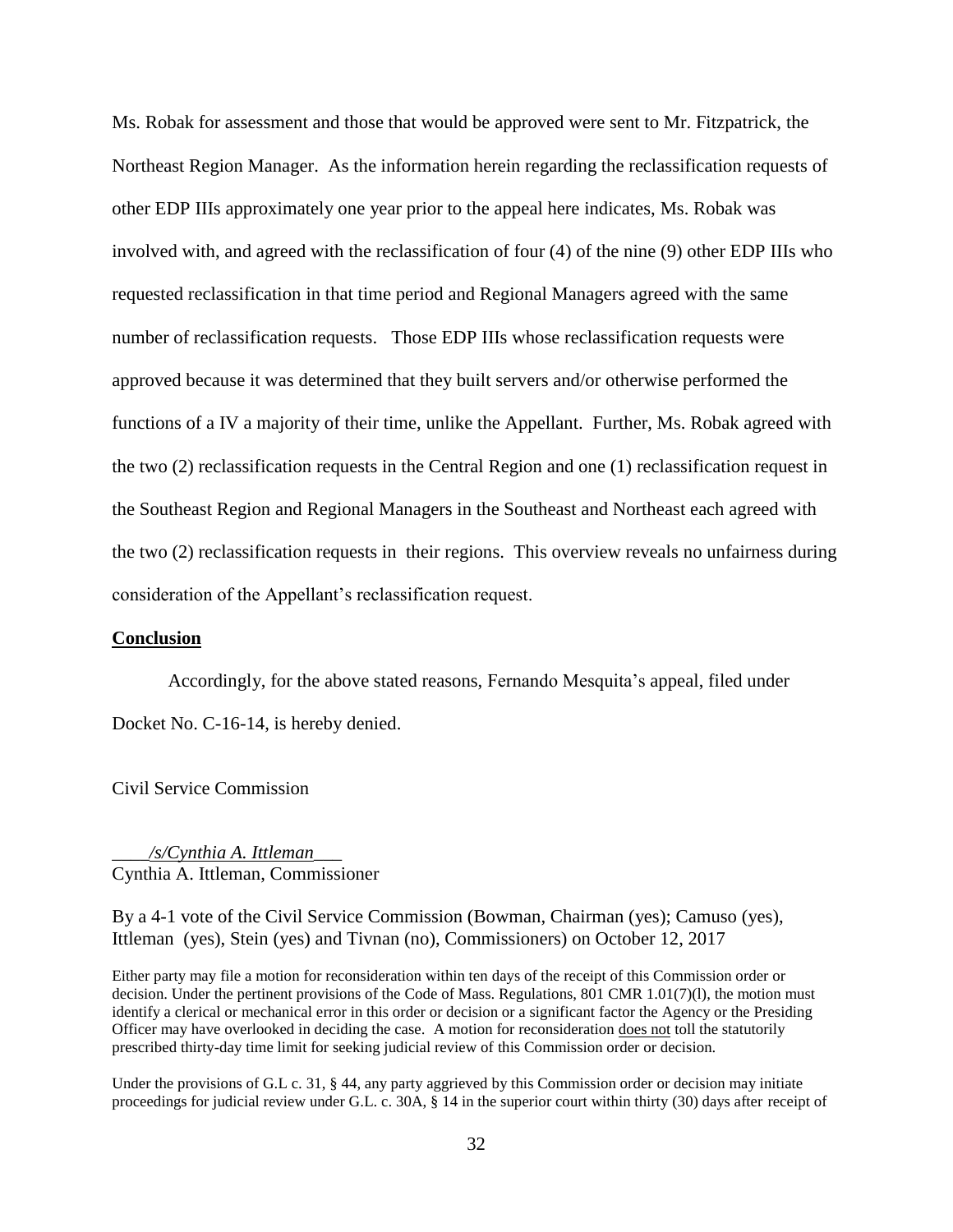Ms. Robak for assessment and those that would be approved were sent to Mr. Fitzpatrick, the Northeast Region Manager. As the information herein regarding the reclassification requests of other EDP IIIs approximately one year prior to the appeal here indicates, Ms. Robak was involved with, and agreed with the reclassification of four (4) of the nine (9) other EDP IIIs who requested reclassification in that time period and Regional Managers agreed with the same number of reclassification requests. Those EDP IIIs whose reclassification requests were approved because it was determined that they built servers and/or otherwise performed the functions of a IV a majority of their time, unlike the Appellant. Further, Ms. Robak agreed with the two (2) reclassification requests in the Central Region and one (1) reclassification request in the Southeast Region and Regional Managers in the Southeast and Northeast each agreed with the two (2) reclassification requests in their regions. This overview reveals no unfairness during consideration of the Appellant's reclassification request.

#### **Conclusion**

Accordingly, for the above stated reasons, Fernando Mesquita's appeal, filed under Docket No. C-16-14, is hereby denied.

Civil Service Commission

\_\_\_\_*/s/Cynthia A. Ittleman*\_\_\_ Cynthia A. Ittleman, Commissioner

By a 4-1 vote of the Civil Service Commission (Bowman, Chairman (yes); Camuso (yes), Ittleman (yes), Stein (yes) and Tivnan (no), Commissioners) on October 12, 2017

Either party may file a motion for reconsideration within ten days of the receipt of this Commission order or decision. Under the pertinent provisions of the Code of Mass. Regulations, 801 CMR 1.01(7)(l), the motion must identify a clerical or mechanical error in this order or decision or a significant factor the Agency or the Presiding Officer may have overlooked in deciding the case. A motion for reconsideration does not toll the statutorily prescribed thirty-day time limit for seeking judicial review of this Commission order or decision.

Under the provisions of G.L c. 31, § 44, any party aggrieved by this Commission order or decision may initiate proceedings for judicial review under G.L. c. 30A, § 14 in the superior court within thirty (30) days after receipt of